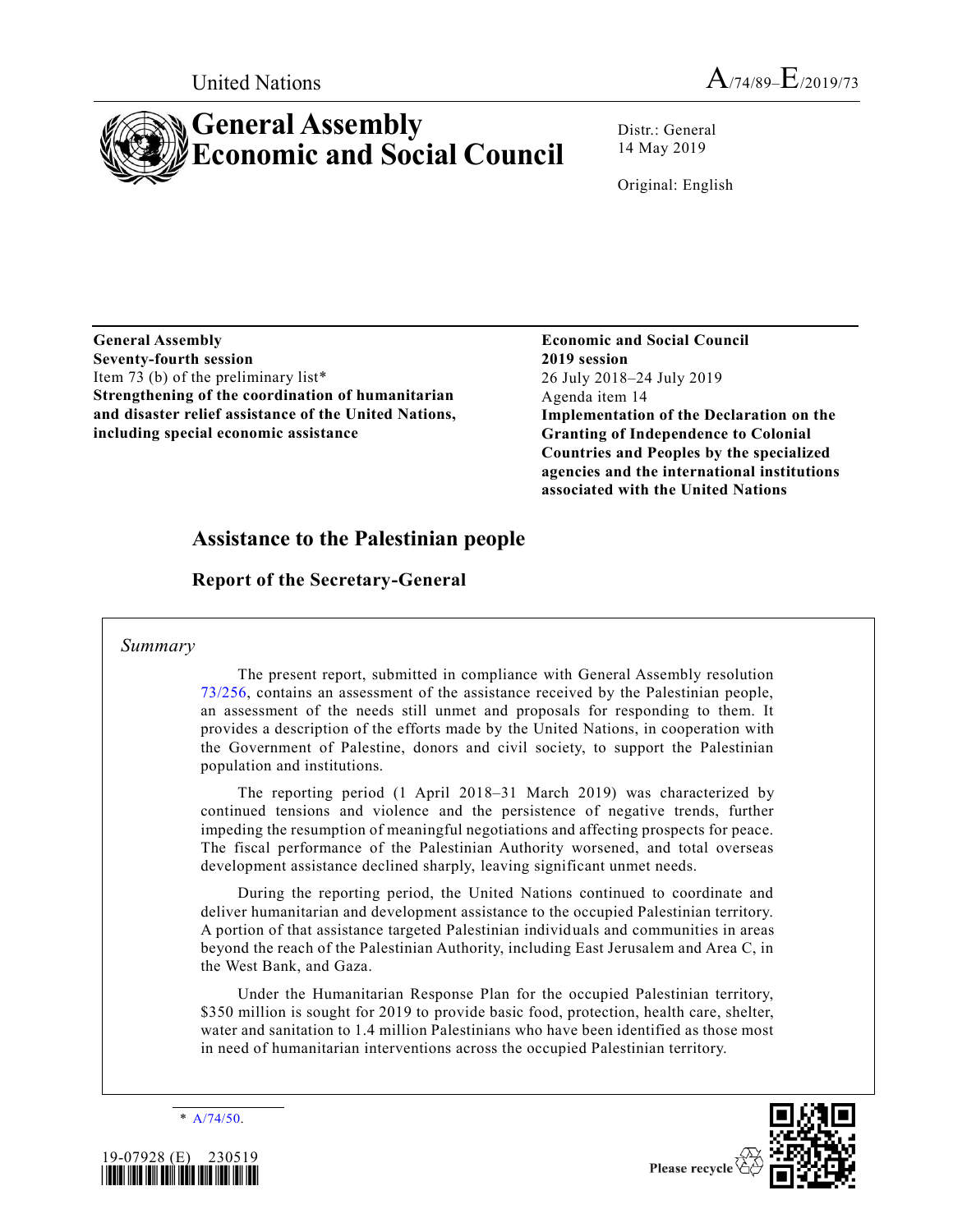# **General Assembly Economic and Social Council**

Distr.: General 14 May 2019

Original: English

**General Assembly Seventy-fourth session** Item 73 (b) of the preliminary list\* **Strengthening of the coordination of humanitarian and disaster relief assistance of the United Nations, including special economic assistance** 

**Economic and Social Council 2019 session** 26 July 2018–24 July 2019 Agenda item 14 **Implementation of the Declaration on the Granting of Independence to Colonial Countries and Peoples by the specialized agencies and the international institutions associated with the United Nations**

# **Assistance to the Palestinian people**

**Report of the Secretary-General**

# *Summary*

The present report, submitted in compliance with General Assembly resolution [73/256,](https://undocs.org/A/RES/73/256) contains an assessment of the assistance received by the Palestinian people, an assessment of the needs still unmet and proposals for responding to them. It provides a description of the efforts made by the United Nations, in cooperation with the Government of Palestine, donors and civil society, to support the Palestinian population and institutions.

The reporting period (1 April 2018–31 March 2019) was characterized by continued tensions and violence and the persistence of negative trends, further impeding the resumption of meaningful negotiations and affecting prospects for peace. The fiscal performance of the Palestinian Authority worsened, and total overseas development assistance declined sharply, leaving significant unmet needs.

During the reporting period, the United Nations continued to coordinate and deliver humanitarian and development assistance to the occupied Palestinian territory. A portion of that assistance targeted Palestinian individuals and communities in areas beyond the reach of the Palestinian Authority, including East Jerusalem and Area C, in the West Bank, and Gaza.

Under the Humanitarian Response Plan for the occupied Palestinian territory, \$350 million is sought for 2019 to provide basic food, protection, health care, shelter, water and sanitation to 1.4 million Palestinians who have been identified as those most in need of humanitarian interventions across the occupied Palestinian territory.

\* [A/74/50.](https://undocs.org/A/74/50)





Please recycle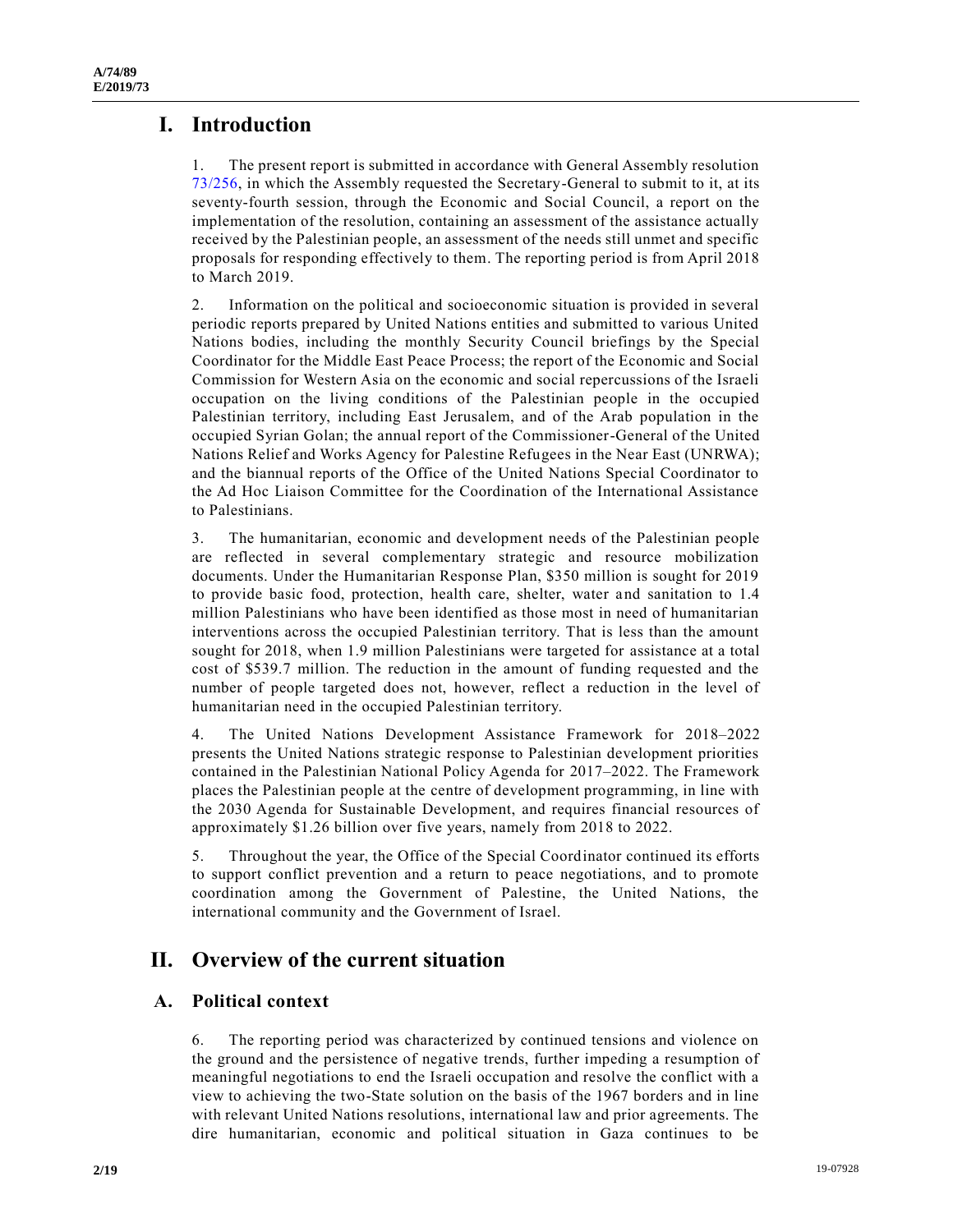# **I. Introduction**

1. The present report is submitted in accordance with General Assembly resolution [73/256,](https://undocs.org/A/RES/73/256) in which the Assembly requested the Secretary-General to submit to it, at its seventy-fourth session, through the Economic and Social Council, a report on the implementation of the resolution, containing an assessment of the assistance actually received by the Palestinian people, an assessment of the needs still unmet and specific proposals for responding effectively to them. The reporting period is from April 2018 to March 2019.

2. Information on the political and socioeconomic situation is provided in several periodic reports prepared by United Nations entities and submitted to various United Nations bodies, including the monthly Security Council briefings by the Special Coordinator for the Middle East Peace Process; the report of the Economic and Social Commission for Western Asia on the economic and social repercussions of the Israeli occupation on the living conditions of the Palestinian people in the occupied Palestinian territory, including East Jerusalem, and of the Arab population in the occupied Syrian Golan; the annual report of the Commissioner-General of the United Nations Relief and Works Agency for Palestine Refugees in the Near East (UNRWA); and the biannual reports of the Office of the United Nations Special Coordinator to the Ad Hoc Liaison Committee for the Coordination of the International Assistance to Palestinians.

3. The humanitarian, economic and development needs of the Palestinian people are reflected in several complementary strategic and resource mobilization documents. Under the Humanitarian Response Plan, \$350 million is sought for 2019 to provide basic food, protection, health care, shelter, water and sanitation to 1.4 million Palestinians who have been identified as those most in need of humanitarian interventions across the occupied Palestinian territory. That is less than the amount sought for 2018, when 1.9 million Palestinians were targeted for assistance at a total cost of \$539.7 million. The reduction in the amount of funding requested and the number of people targeted does not, however, reflect a reduction in the level of humanitarian need in the occupied Palestinian territory.

4. The United Nations Development Assistance Framework for 2018–2022 presents the United Nations strategic response to Palestinian development priorities contained in the Palestinian National Policy Agenda for 2017–2022. The Framework places the Palestinian people at the centre of development programming, in line with the 2030 Agenda for Sustainable Development, and requires financial resources of approximately \$1.26 billion over five years, namely from 2018 to 2022.

5. Throughout the year, the Office of the Special Coordinator continued its efforts to support conflict prevention and a return to peace negotiations, and to promote coordination among the Government of Palestine, the United Nations, the international community and the Government of Israel.

# **II. Overview of the current situation**

# **A. Political context**

6. The reporting period was characterized by continued tensions and violence on the ground and the persistence of negative trends, further impeding a resumption of meaningful negotiations to end the Israeli occupation and resolve the conflict with a view to achieving the two-State solution on the basis of the 1967 borders and in line with relevant United Nations resolutions, international law and prior agreements. The dire humanitarian, economic and political situation in Gaza continues to be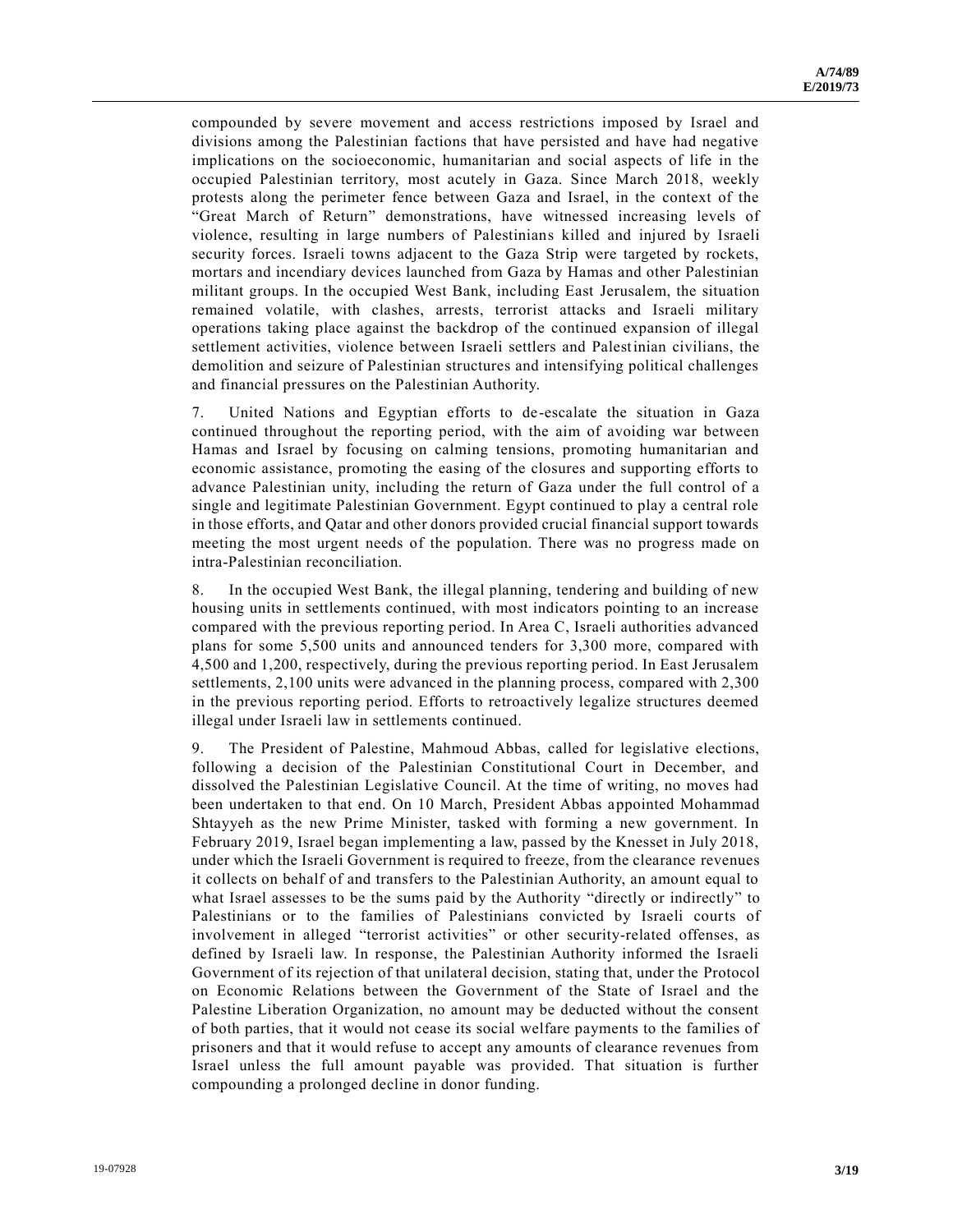compounded by severe movement and access restrictions imposed by Israel and divisions among the Palestinian factions that have persisted and have had negative implications on the socioeconomic, humanitarian and social aspects of life in the occupied Palestinian territory, most acutely in Gaza. Since March 2018, weekly protests along the perimeter fence between Gaza and Israel, in the context of the "Great March of Return" demonstrations, have witnessed increasing levels of violence, resulting in large numbers of Palestinians killed and injured by Israeli security forces. Israeli towns adjacent to the Gaza Strip were targeted by rockets, mortars and incendiary devices launched from Gaza by Hamas and other Palestinian militant groups. In the occupied West Bank, including East Jerusalem, the situation remained volatile, with clashes, arrests, terrorist attacks and Israeli military operations taking place against the backdrop of the continued expansion of illegal settlement activities, violence between Israeli settlers and Palestinian civilians, the demolition and seizure of Palestinian structures and intensifying political challenges and financial pressures on the Palestinian Authority.

7. United Nations and Egyptian efforts to de-escalate the situation in Gaza continued throughout the reporting period, with the aim of avoiding war between Hamas and Israel by focusing on calming tensions, promoting humanitarian and economic assistance, promoting the easing of the closures and supporting efforts to advance Palestinian unity, including the return of Gaza under the full control of a single and legitimate Palestinian Government. Egypt continued to play a central role in those efforts, and Qatar and other donors provided crucial financial support towards meeting the most urgent needs of the population. There was no progress made on intra-Palestinian reconciliation.

8. In the occupied West Bank, the illegal planning, tendering and building of new housing units in settlements continued, with most indicators pointing to an increase compared with the previous reporting period. In Area C, Israeli authorities advanced plans for some 5,500 units and announced tenders for 3,300 more, compared with 4,500 and 1,200, respectively, during the previous reporting period. In East Jerusalem settlements, 2,100 units were advanced in the planning process, compared with 2,300 in the previous reporting period. Efforts to retroactively legalize structures deemed illegal under Israeli law in settlements continued.

9. The President of Palestine, Mahmoud Abbas, called for legislative elections, following a decision of the Palestinian Constitutional Court in December, and dissolved the Palestinian Legislative Council. At the time of writing, no moves had been undertaken to that end. On 10 March, President Abbas appointed Mohammad Shtayyeh as the new Prime Minister, tasked with forming a new government. In February 2019, Israel began implementing a law, passed by the Knesset in July 2018, under which the Israeli Government is required to freeze, from the clearance revenues it collects on behalf of and transfers to the Palestinian Authority, an amount equal to what Israel assesses to be the sums paid by the Authority "directly or indirectly" to Palestinians or to the families of Palestinians convicted by Israeli courts of involvement in alleged "terrorist activities" or other security-related offenses, as defined by Israeli law. In response, the Palestinian Authority informed the Israeli Government of its rejection of that unilateral decision, stating that, under the Protocol on Economic Relations between the Government of the State of Israel and the Palestine Liberation Organization, no amount may be deducted without the consent of both parties, that it would not cease its social welfare payments to the families of prisoners and that it would refuse to accept any amounts of clearance revenues from Israel unless the full amount payable was provided. That situation is further compounding a prolonged decline in donor funding.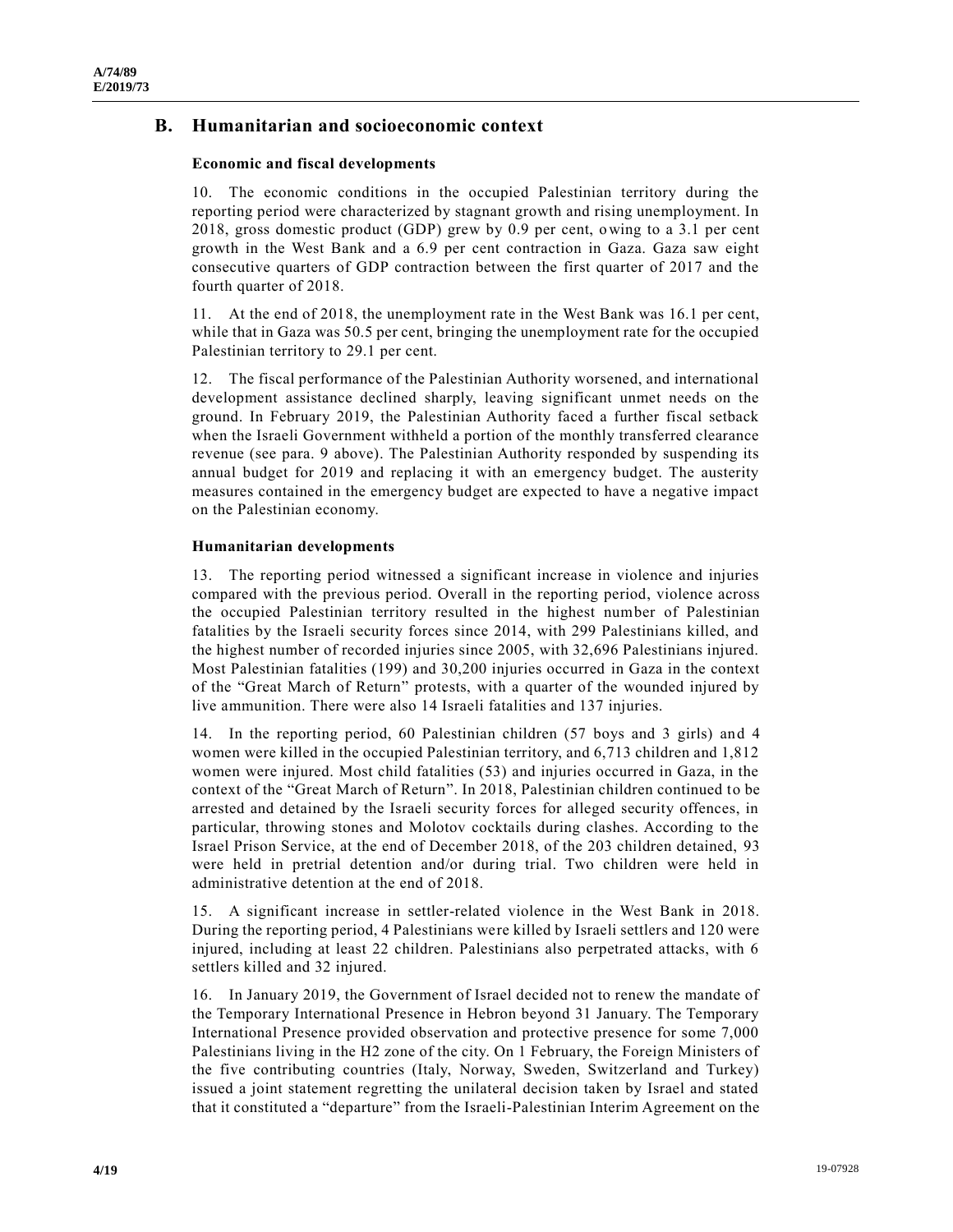## **B. Humanitarian and socioeconomic context**

#### **Economic and fiscal developments**

10. The economic conditions in the occupied Palestinian territory during the reporting period were characterized by stagnant growth and rising unemployment. In 2018, gross domestic product (GDP) grew by 0.9 per cent, owing to a 3.1 per cent growth in the West Bank and a 6.9 per cent contraction in Gaza. Gaza saw eight consecutive quarters of GDP contraction between the first quarter of 2017 and the fourth quarter of 2018.

11. At the end of 2018, the unemployment rate in the West Bank was 16.1 per cent, while that in Gaza was 50.5 per cent, bringing the unemployment rate for the occupied Palestinian territory to 29.1 per cent.

12. The fiscal performance of the Palestinian Authority worsened, and international development assistance declined sharply, leaving significant unmet needs on the ground. In February 2019, the Palestinian Authority faced a further fiscal setback when the Israeli Government withheld a portion of the monthly transferred clearance revenue (see para. 9 above). The Palestinian Authority responded by suspending its annual budget for 2019 and replacing it with an emergency budget. The austerity measures contained in the emergency budget are expected to have a negative impact on the Palestinian economy.

#### **Humanitarian developments**

13. The reporting period witnessed a significant increase in violence and injuries compared with the previous period. Overall in the reporting period, violence across the occupied Palestinian territory resulted in the highest number of Palestinian fatalities by the Israeli security forces since 2014, with 299 Palestinians killed, and the highest number of recorded injuries since 2005, with 32,696 Palestinians injured. Most Palestinian fatalities (199) and 30,200 injuries occurred in Gaza in the context of the "Great March of Return" protests, with a quarter of the wounded injured by live ammunition. There were also 14 Israeli fatalities and 137 injuries.

14. In the reporting period, 60 Palestinian children (57 boys and 3 girls) and 4 women were killed in the occupied Palestinian territory, and 6,713 children and 1,812 women were injured. Most child fatalities (53) and injuries occurred in Gaza, in the context of the "Great March of Return". In 2018, Palestinian children continued to be arrested and detained by the Israeli security forces for alleged security offences, in particular, throwing stones and Molotov cocktails during clashes. According to the Israel Prison Service, at the end of December 2018, of the 203 children detained, 93 were held in pretrial detention and/or during trial. Two children were held in administrative detention at the end of 2018.

15. A significant increase in settler-related violence in the West Bank in 2018. During the reporting period, 4 Palestinians were killed by Israeli settlers and 120 were injured, including at least 22 children. Palestinians also perpetrated attacks, with 6 settlers killed and 32 injured.

16. In January 2019, the Government of Israel decided not to renew the mandate of the Temporary International Presence in Hebron beyond 31 January. The Temporary International Presence provided observation and protective presence for some 7,000 Palestinians living in the H2 zone of the city. On 1 February, the Foreign Ministers of the five contributing countries (Italy, Norway, Sweden, Switzerland and Turkey) issued a joint statement regretting the unilateral decision taken by Israel and stated that it constituted a "departure" from the Israeli-Palestinian Interim Agreement on the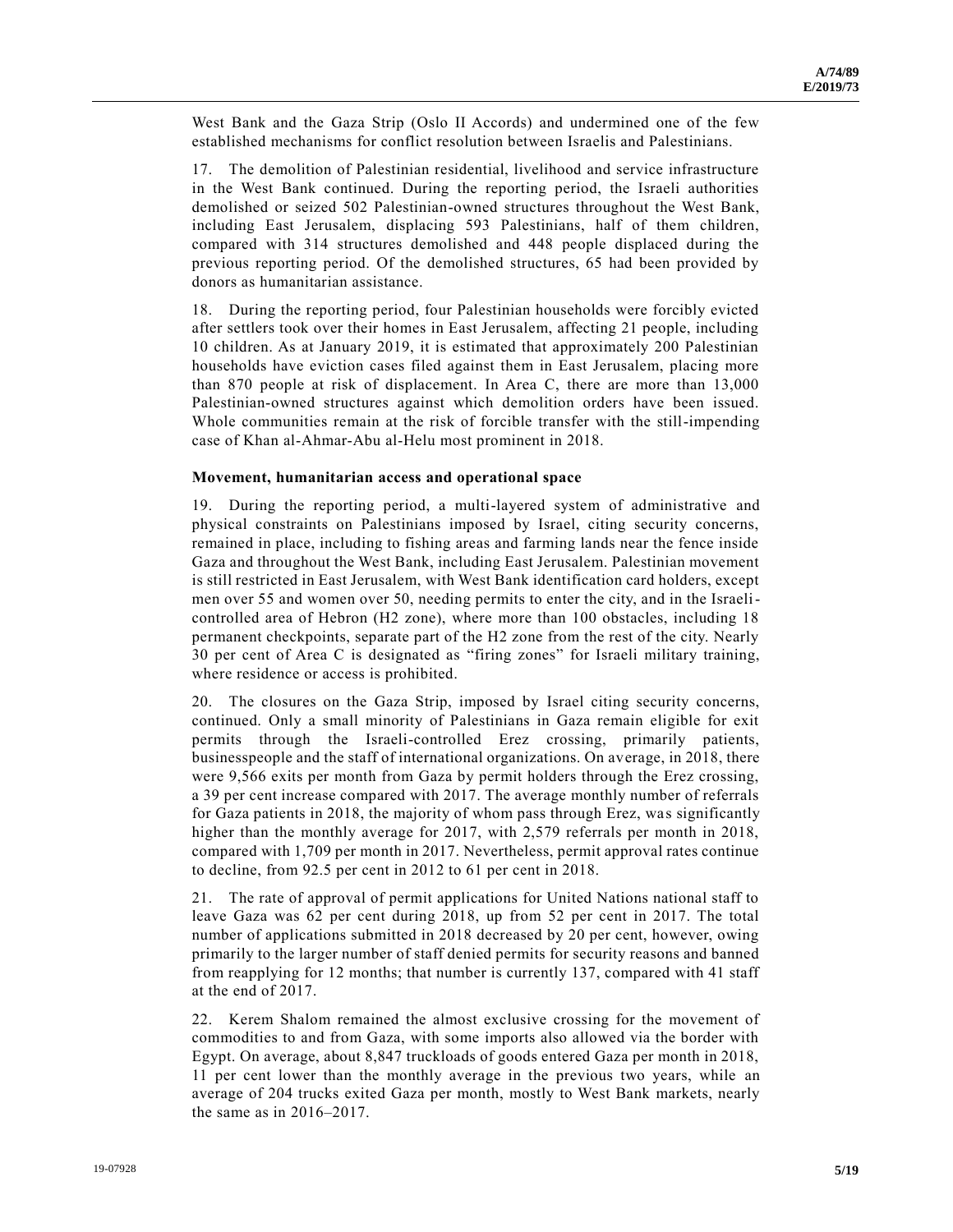West Bank and the Gaza Strip (Oslo II Accords) and undermined one of the few established mechanisms for conflict resolution between Israelis and Palestinians.

17. The demolition of Palestinian residential, livelihood and service infrastructure in the West Bank continued. During the reporting period, the Israeli authorities demolished or seized 502 Palestinian-owned structures throughout the West Bank, including East Jerusalem, displacing 593 Palestinians, half of them children, compared with 314 structures demolished and 448 people displaced during the previous reporting period. Of the demolished structures, 65 had been provided by donors as humanitarian assistance.

18. During the reporting period, four Palestinian households were forcibly evicted after settlers took over their homes in East Jerusalem, affecting 21 people, including 10 children. As at January 2019, it is estimated that approximately 200 Palestinian households have eviction cases filed against them in East Jerusalem, placing more than 870 people at risk of displacement. In Area C, there are more than 13,000 Palestinian-owned structures against which demolition orders have been issued. Whole communities remain at the risk of forcible transfer with the still-impending case of Khan al-Ahmar-Abu al-Helu most prominent in 2018.

#### **Movement, humanitarian access and operational space**

19. During the reporting period, a multi-layered system of administrative and physical constraints on Palestinians imposed by Israel, citing security concerns, remained in place, including to fishing areas and farming lands near the fence inside Gaza and throughout the West Bank, including East Jerusalem. Palestinian movement is still restricted in East Jerusalem, with West Bank identification card holders, except men over 55 and women over 50, needing permits to enter the city, and in the Israelicontrolled area of Hebron (H2 zone), where more than 100 obstacles, including 18 permanent checkpoints, separate part of the H2 zone from the rest of the city. Nearly 30 per cent of Area C is designated as "firing zones" for Israeli military training, where residence or access is prohibited.

20. The closures on the Gaza Strip, imposed by Israel citing security concerns, continued. Only a small minority of Palestinians in Gaza remain eligible for exit permits through the Israeli-controlled Erez crossing, primarily patients, businesspeople and the staff of international organizations. On average, in 2018, there were 9,566 exits per month from Gaza by permit holders through the Erez crossing, a 39 per cent increase compared with 2017. The average monthly number of referrals for Gaza patients in 2018, the majority of whom pass through Erez, was significantly higher than the monthly average for 2017, with 2,579 referrals per month in 2018, compared with 1,709 per month in 2017. Nevertheless, permit approval rates continue to decline, from 92.5 per cent in 2012 to 61 per cent in 2018.

21. The rate of approval of permit applications for United Nations national staff to leave Gaza was 62 per cent during 2018, up from 52 per cent in 2017. The total number of applications submitted in 2018 decreased by 20 per cent, however, owing primarily to the larger number of staff denied permits for security reasons and banned from reapplying for 12 months; that number is currently 137, compared with 41 staff at the end of 2017.

22. Kerem Shalom remained the almost exclusive crossing for the movement of commodities to and from Gaza, with some imports also allowed via the border with Egypt. On average, about 8,847 truckloads of goods entered Gaza per month in 2018, 11 per cent lower than the monthly average in the previous two years, while an average of 204 trucks exited Gaza per month, mostly to West Bank markets, nearly the same as in 2016–2017.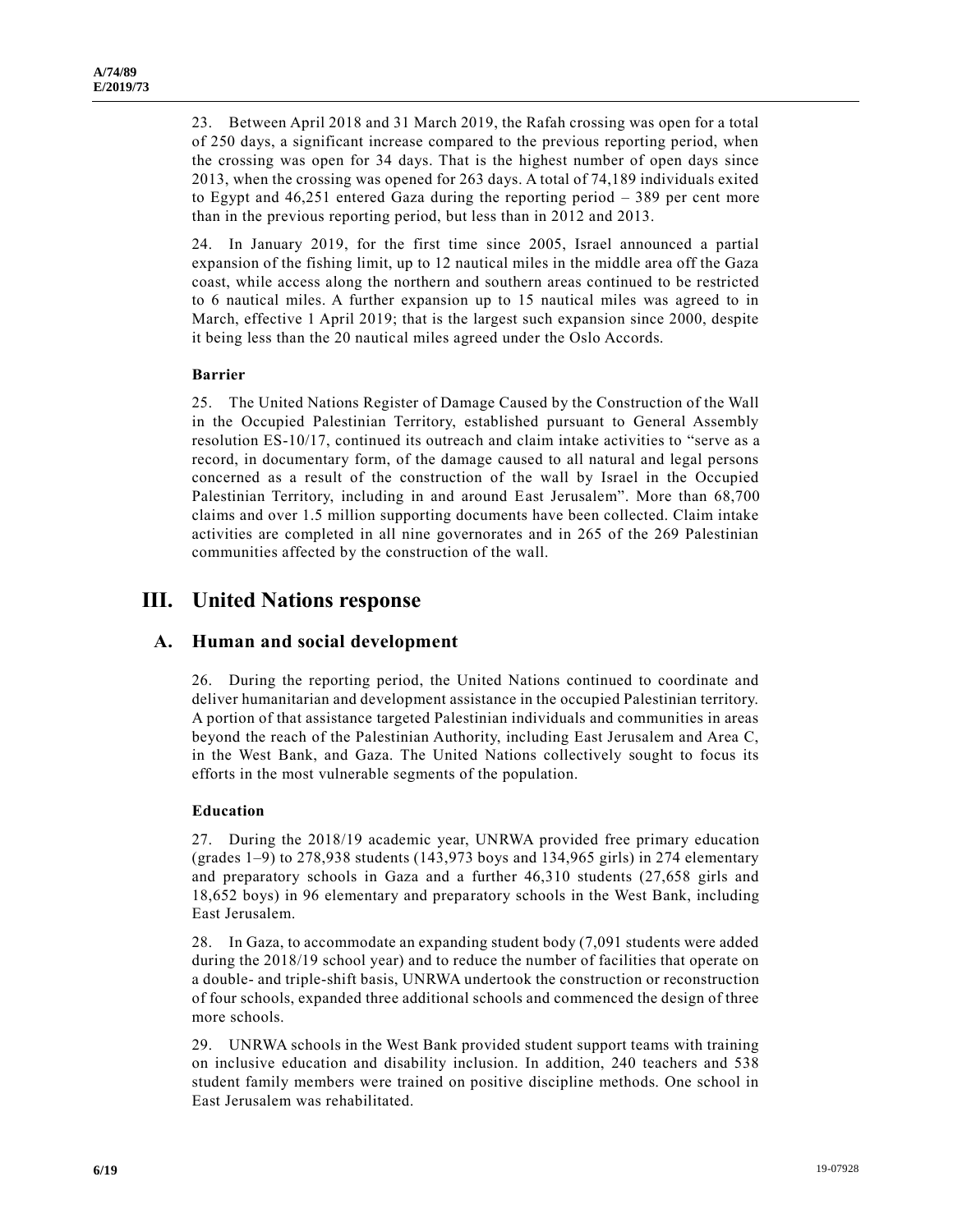23. Between April 2018 and 31 March 2019, the Rafah crossing was open for a total of 250 days, a significant increase compared to the previous reporting period, when the crossing was open for 34 days. That is the highest number of open days since 2013, when the crossing was opened for 263 days. A total of 74,189 individuals exited to Egypt and 46,251 entered Gaza during the reporting period – 389 per cent more than in the previous reporting period, but less than in 2012 and 2013.

24. In January 2019, for the first time since 2005, Israel announced a partial expansion of the fishing limit, up to 12 nautical miles in the middle area off the Gaza coast, while access along the northern and southern areas continued to be restricted to 6 nautical miles. A further expansion up to 15 nautical miles was agreed to in March, effective 1 April 2019; that is the largest such expansion since 2000, despite it being less than the 20 nautical miles agreed under the Oslo Accords.

#### **Barrier**

25. The United Nations Register of Damage Caused by the Construction of the Wall in the Occupied Palestinian Territory, established pursuant to General Assembly resolution ES-10/17, continued its outreach and claim intake activities to "serve as a record, in documentary form, of the damage caused to all natural and legal persons concerned as a result of the construction of the wall by Israel in the Occupied Palestinian Territory, including in and around East Jerusalem". More than 68,700 claims and over 1.5 million supporting documents have been collected. Claim intake activities are completed in all nine governorates and in 265 of the 269 Palestinian communities affected by the construction of the wall.

# **III. United Nations response**

## **A. Human and social development**

26. During the reporting period, the United Nations continued to coordinate and deliver humanitarian and development assistance in the occupied Palestinian territory. A portion of that assistance targeted Palestinian individuals and communities in areas beyond the reach of the Palestinian Authority, including East Jerusalem and Area C, in the West Bank, and Gaza. The United Nations collectively sought to focus its efforts in the most vulnerable segments of the population.

#### **Education**

27. During the 2018/19 academic year, UNRWA provided free primary education (grades 1–9) to 278,938 students (143,973 boys and 134,965 girls) in 274 elementary and preparatory schools in Gaza and a further 46,310 students (27,658 girls and 18,652 boys) in 96 elementary and preparatory schools in the West Bank, including East Jerusalem.

28. In Gaza, to accommodate an expanding student body (7,091 students were added during the 2018/19 school year) and to reduce the number of facilities that operate on a double- and triple-shift basis, UNRWA undertook the construction or reconstruction of four schools, expanded three additional schools and commenced the design of three more schools.

29. UNRWA schools in the West Bank provided student support teams with training on inclusive education and disability inclusion. In addition, 240 teachers and 538 student family members were trained on positive discipline methods. One school in East Jerusalem was rehabilitated.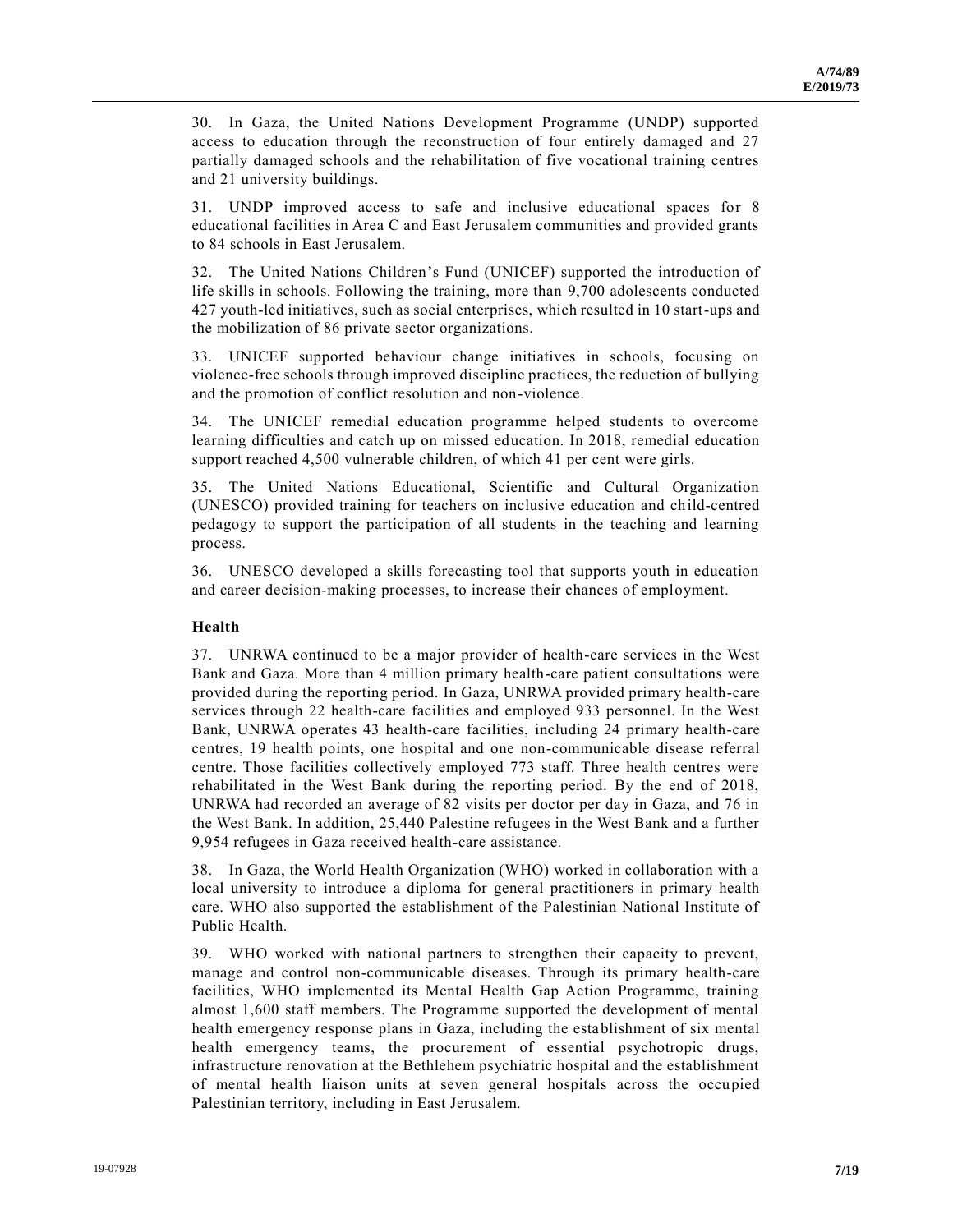30. In Gaza, the United Nations Development Programme (UNDP) supported access to education through the reconstruction of four entirely damaged and 27 partially damaged schools and the rehabilitation of five vocational training centres and 21 university buildings.

31. UNDP improved access to safe and inclusive educational spaces for 8 educational facilities in Area C and East Jerusalem communities and provided grants to 84 schools in East Jerusalem.

32. The United Nations Children's Fund (UNICEF) supported the introduction of life skills in schools. Following the training, more than 9,700 adolescents conducted 427 youth-led initiatives, such as social enterprises, which resulted in 10 start-ups and the mobilization of 86 private sector organizations.

33. UNICEF supported behaviour change initiatives in schools, focusing on violence-free schools through improved discipline practices, the reduction of bullying and the promotion of conflict resolution and non-violence.

34. The UNICEF remedial education programme helped students to overcome learning difficulties and catch up on missed education. In 2018, remedial education support reached 4,500 vulnerable children, of which 41 per cent were girls.

35. The United Nations Educational, Scientific and Cultural Organization (UNESCO) provided training for teachers on inclusive education and child-centred pedagogy to support the participation of all students in the teaching and learning process.

36. UNESCO developed a skills forecasting tool that supports youth in education and career decision-making processes, to increase their chances of employment.

#### **Health**

37. UNRWA continued to be a major provider of health-care services in the West Bank and Gaza. More than 4 million primary health-care patient consultations were provided during the reporting period. In Gaza, UNRWA provided primary health-care services through 22 health-care facilities and employed 933 personnel. In the West Bank, UNRWA operates 43 health-care facilities, including 24 primary health-care centres, 19 health points, one hospital and one non-communicable disease referral centre. Those facilities collectively employed 773 staff. Three health centres were rehabilitated in the West Bank during the reporting period. By the end of 2018, UNRWA had recorded an average of 82 visits per doctor per day in Gaza, and 76 in the West Bank. In addition, 25,440 Palestine refugees in the West Bank and a further 9,954 refugees in Gaza received health-care assistance.

38. In Gaza, the World Health Organization (WHO) worked in collaboration with a local university to introduce a diploma for general practitioners in primary health care. WHO also supported the establishment of the Palestinian National Institute of Public Health.

39. WHO worked with national partners to strengthen their capacity to prevent, manage and control non-communicable diseases. Through its primary health-care facilities, WHO implemented its Mental Health Gap Action Programme, training almost 1,600 staff members. The Programme supported the development of mental health emergency response plans in Gaza, including the establishment of six mental health emergency teams, the procurement of essential psychotropic drugs, infrastructure renovation at the Bethlehem psychiatric hospital and the establishment of mental health liaison units at seven general hospitals across the occupied Palestinian territory, including in East Jerusalem.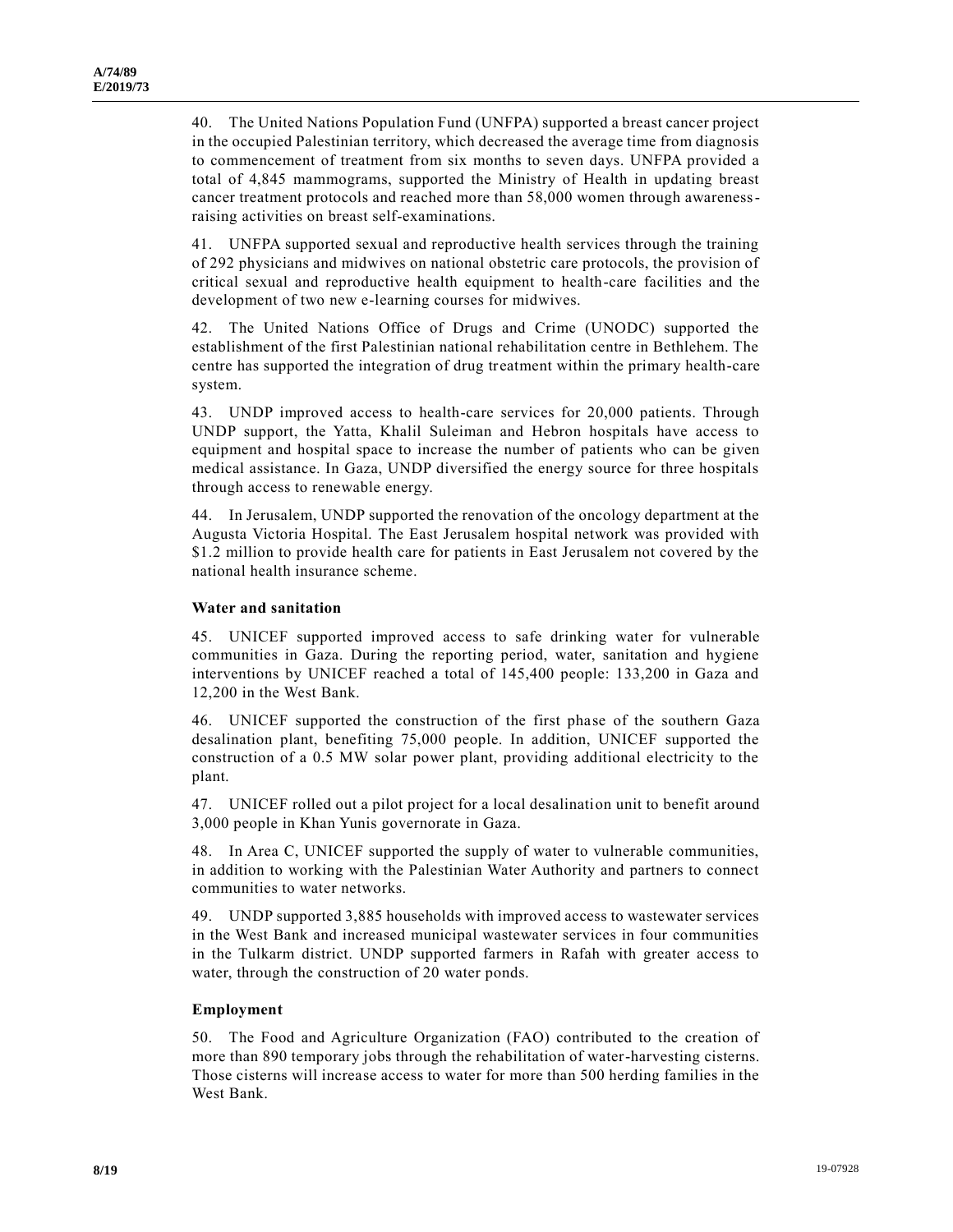40. The United Nations Population Fund (UNFPA) supported a breast cancer project in the occupied Palestinian territory, which decreased the average time from diagnosis to commencement of treatment from six months to seven days. UNFPA provided a total of 4,845 mammograms, supported the Ministry of Health in updating breast cancer treatment protocols and reached more than 58,000 women through awarenessraising activities on breast self-examinations.

41. UNFPA supported sexual and reproductive health services through the training of 292 physicians and midwives on national obstetric care protocols, the provision of critical sexual and reproductive health equipment to health-care facilities and the development of two new e-learning courses for midwives.

42. The United Nations Office of Drugs and Crime (UNODC) supported the establishment of the first Palestinian national rehabilitation centre in Bethlehem. The centre has supported the integration of drug treatment within the primary health-care system.

43. UNDP improved access to health-care services for 20,000 patients. Through UNDP support, the Yatta, Khalil Suleiman and Hebron hospitals have access to equipment and hospital space to increase the number of patients who can be given medical assistance. In Gaza, UNDP diversified the energy source for three hospitals through access to renewable energy.

44. In Jerusalem, UNDP supported the renovation of the oncology department at the Augusta Victoria Hospital. The East Jerusalem hospital network was provided with \$1.2 million to provide health care for patients in East Jerusalem not covered by the national health insurance scheme.

#### **Water and sanitation**

45. UNICEF supported improved access to safe drinking water for vulnerable communities in Gaza. During the reporting period, water, sanitation and hygiene interventions by UNICEF reached a total of 145,400 people: 133,200 in Gaza and 12,200 in the West Bank.

46. UNICEF supported the construction of the first phase of the southern Gaza desalination plant, benefiting 75,000 people. In addition, UNICEF supported the construction of a 0.5 MW solar power plant, providing additional electricity to the plant.

47. UNICEF rolled out a pilot project for a local desalination unit to benefit around 3,000 people in Khan Yunis governorate in Gaza.

48. In Area C, UNICEF supported the supply of water to vulnerable communities, in addition to working with the Palestinian Water Authority and partners to connect communities to water networks.

49. UNDP supported 3,885 households with improved access to wastewater services in the West Bank and increased municipal wastewater services in four communities in the Tulkarm district. UNDP supported farmers in Rafah with greater access to water, through the construction of 20 water ponds.

#### **Employment**

50. The Food and Agriculture Organization (FAO) contributed to the creation of more than 890 temporary jobs through the rehabilitation of water-harvesting cisterns. Those cisterns will increase access to water for more than 500 herding families in the West Bank.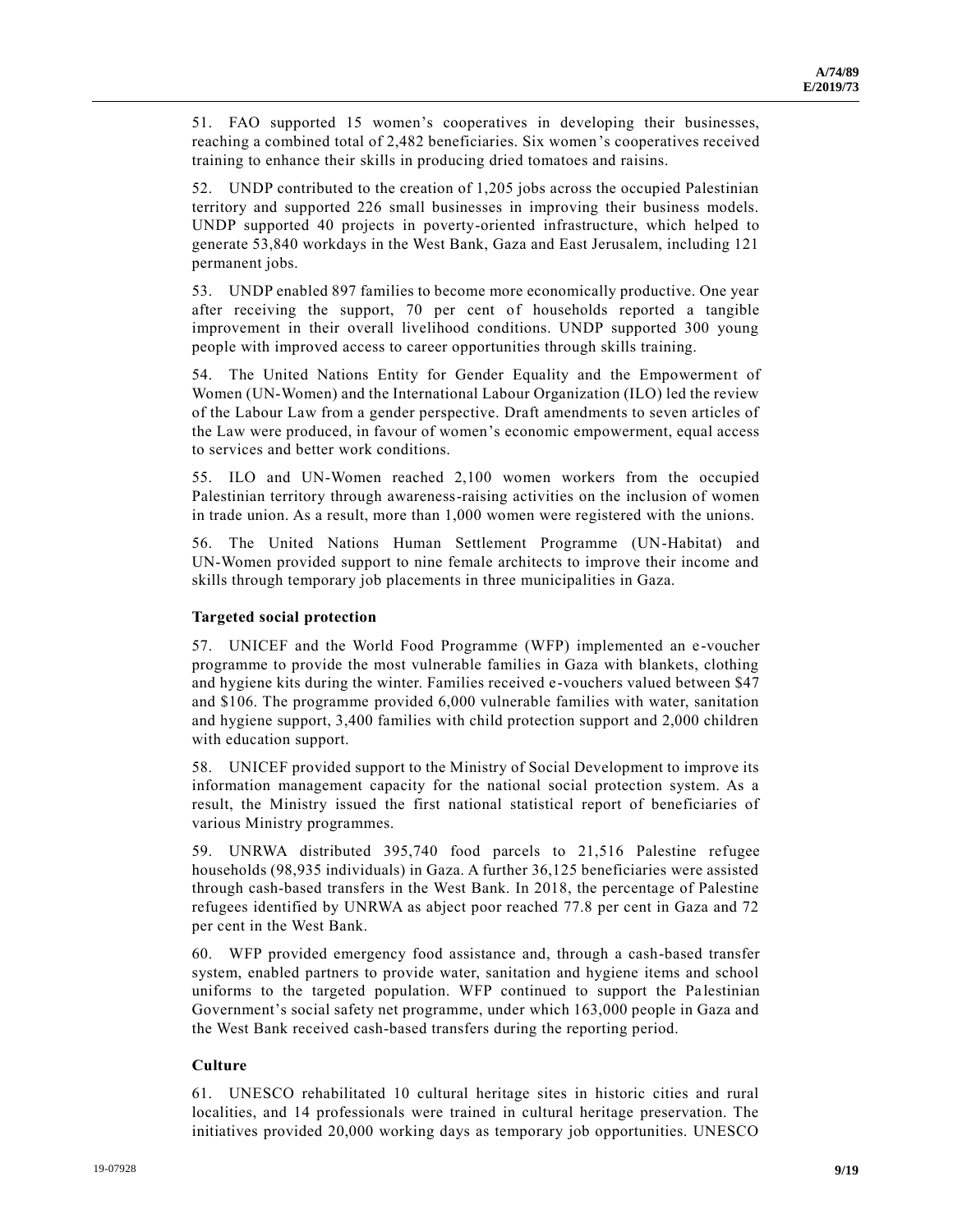51. FAO supported 15 women's cooperatives in developing their businesses, reaching a combined total of 2,482 beneficiaries. Six women's cooperatives received training to enhance their skills in producing dried tomatoes and raisins.

52. UNDP contributed to the creation of 1,205 jobs across the occupied Palestinian territory and supported 226 small businesses in improving their business models. UNDP supported 40 projects in poverty-oriented infrastructure, which helped to generate 53,840 workdays in the West Bank, Gaza and East Jerusalem, including 121 permanent jobs.

53. UNDP enabled 897 families to become more economically productive. One year after receiving the support, 70 per cent of households reported a tangible improvement in their overall livelihood conditions. UNDP supported 300 young people with improved access to career opportunities through skills training.

54. The United Nations Entity for Gender Equality and the Empowerment of Women (UN-Women) and the International Labour Organization (ILO) led the review of the Labour Law from a gender perspective. Draft amendments to seven articles of the Law were produced, in favour of women's economic empowerment, equal access to services and better work conditions.

55. ILO and UN-Women reached 2,100 women workers from the occupied Palestinian territory through awareness-raising activities on the inclusion of women in trade union. As a result, more than 1,000 women were registered with the unions.

56. The United Nations Human Settlement Programme (UN-Habitat) and UN-Women provided support to nine female architects to improve their income and skills through temporary job placements in three municipalities in Gaza.

#### **Targeted social protection**

57. UNICEF and the World Food Programme (WFP) implemented an e-voucher programme to provide the most vulnerable families in Gaza with blankets, clothing and hygiene kits during the winter. Families received e-vouchers valued between \$47 and \$106. The programme provided 6,000 vulnerable families with water, sanitation and hygiene support, 3,400 families with child protection support and 2,000 children with education support.

58. UNICEF provided support to the Ministry of Social Development to improve its information management capacity for the national social protection system. As a result, the Ministry issued the first national statistical report of beneficiaries of various Ministry programmes.

59. UNRWA distributed 395,740 food parcels to 21,516 Palestine refugee households (98,935 individuals) in Gaza. A further 36,125 beneficiaries were assisted through cash-based transfers in the West Bank. In 2018, the percentage of Palestine refugees identified by UNRWA as abject poor reached 77.8 per cent in Gaza and 72 per cent in the West Bank.

60. WFP provided emergency food assistance and, through a cash-based transfer system, enabled partners to provide water, sanitation and hygiene items and school uniforms to the targeted population. WFP continued to support the Palestinian Government's social safety net programme, under which 163,000 people in Gaza and the West Bank received cash-based transfers during the reporting period.

#### **Culture**

61. UNESCO rehabilitated 10 cultural heritage sites in historic cities and rural localities, and 14 professionals were trained in cultural heritage preservation. The initiatives provided 20,000 working days as temporary job opportunities. UNESCO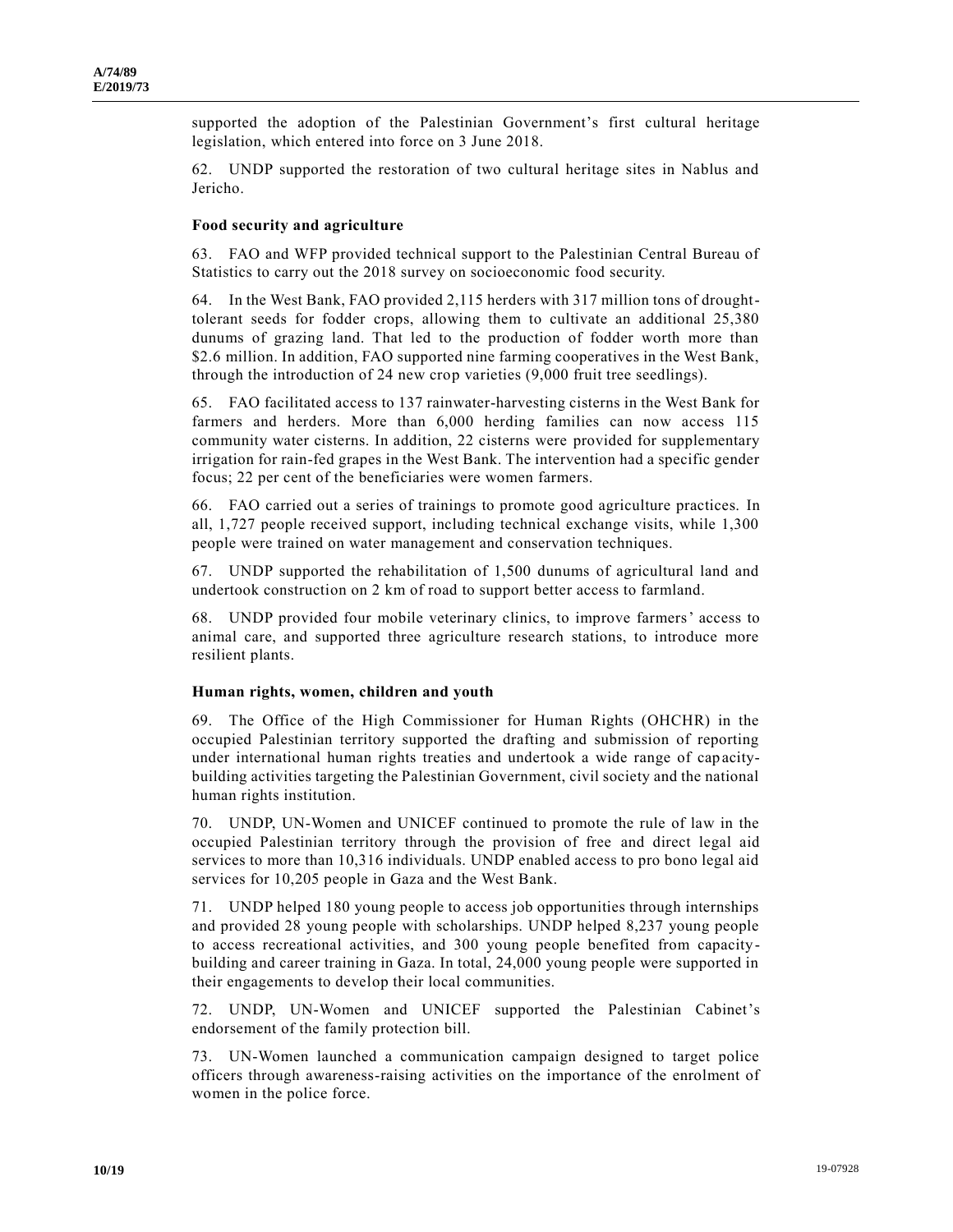supported the adoption of the Palestinian Government's first cultural heritage legislation, which entered into force on 3 June 2018.

62. UNDP supported the restoration of two cultural heritage sites in Nablus and Jericho.

#### **Food security and agriculture**

63. FAO and WFP provided technical support to the Palestinian Central Bureau of Statistics to carry out the 2018 survey on socioeconomic food security.

64. In the West Bank, FAO provided 2,115 herders with 317 million tons of droughttolerant seeds for fodder crops, allowing them to cultivate an additional 25,380 dunums of grazing land. That led to the production of fodder worth more than \$2.6 million. In addition, FAO supported nine farming cooperatives in the West Bank, through the introduction of 24 new crop varieties (9,000 fruit tree seedlings).

65. FAO facilitated access to 137 rainwater-harvesting cisterns in the West Bank for farmers and herders. More than 6,000 herding families can now access 115 community water cisterns. In addition, 22 cisterns were provided for supplementary irrigation for rain-fed grapes in the West Bank. The intervention had a specific gender focus; 22 per cent of the beneficiaries were women farmers.

66. FAO carried out a series of trainings to promote good agriculture practices. In all, 1,727 people received support, including technical exchange visits, while 1,300 people were trained on water management and conservation techniques.

67. UNDP supported the rehabilitation of 1,500 dunums of agricultural land and undertook construction on 2 km of road to support better access to farmland.

68. UNDP provided four mobile veterinary clinics, to improve farmers' access to animal care, and supported three agriculture research stations, to introduce more resilient plants.

#### **Human rights, women, children and youth**

69. The Office of the High Commissioner for Human Rights (OHCHR) in the occupied Palestinian territory supported the drafting and submission of reporting under international human rights treaties and undertook a wide range of capacitybuilding activities targeting the Palestinian Government, civil society and the national human rights institution.

70. UNDP, UN-Women and UNICEF continued to promote the rule of law in the occupied Palestinian territory through the provision of free and direct legal aid services to more than 10,316 individuals. UNDP enabled access to pro bono legal aid services for 10,205 people in Gaza and the West Bank.

71. UNDP helped 180 young people to access job opportunities through internships and provided 28 young people with scholarships. UNDP helped 8,237 young people to access recreational activities, and 300 young people benefited from capacitybuilding and career training in Gaza. In total, 24,000 young people were supported in their engagements to develop their local communities.

72. UNDP, UN-Women and UNICEF supported the Palestinian Cabinet's endorsement of the family protection bill.

73. UN-Women launched a communication campaign designed to target police officers through awareness-raising activities on the importance of the enrolment of women in the police force.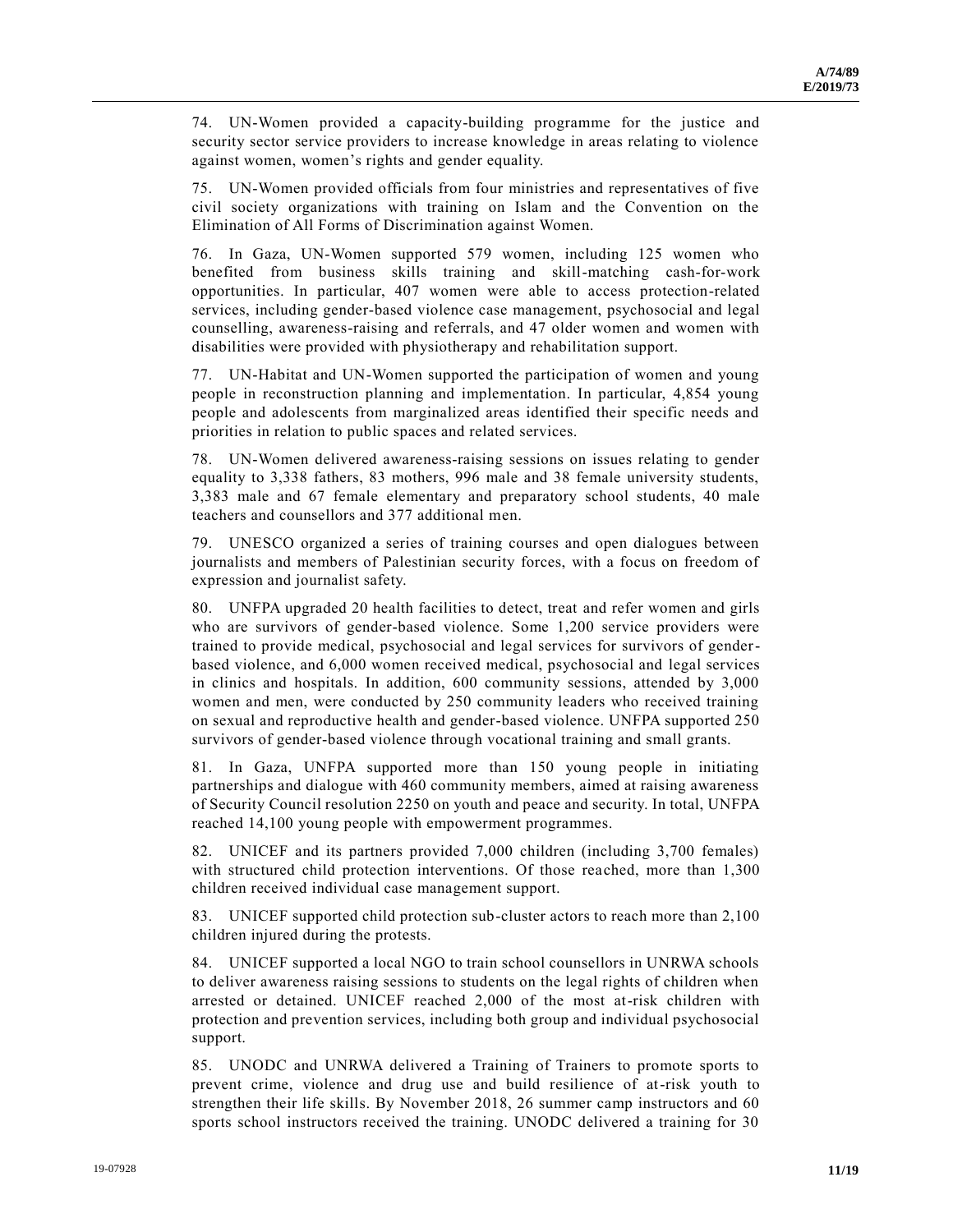74. UN-Women provided a capacity-building programme for the justice and security sector service providers to increase knowledge in areas relating to violence against women, women's rights and gender equality.

75. UN-Women provided officials from four ministries and representatives of five civil society organizations with training on Islam and the Convention on the Elimination of All Forms of Discrimination against Women.

76. In Gaza, UN-Women supported 579 women, including 125 women who benefited from business skills training and skill-matching cash-for-work opportunities. In particular, 407 women were able to access protection-related services, including gender-based violence case management, psychosocial and legal counselling, awareness-raising and referrals, and 47 older women and women with disabilities were provided with physiotherapy and rehabilitation support.

77. UN-Habitat and UN-Women supported the participation of women and young people in reconstruction planning and implementation. In particular, 4,854 young people and adolescents from marginalized areas identified their specific needs and priorities in relation to public spaces and related services.

78. UN-Women delivered awareness-raising sessions on issues relating to gender equality to 3,338 fathers, 83 mothers, 996 male and 38 female university students, 3,383 male and 67 female elementary and preparatory school students, 40 male teachers and counsellors and 377 additional men.

79. UNESCO organized a series of training courses and open dialogues between journalists and members of Palestinian security forces, with a focus on freedom of expression and journalist safety.

80. UNFPA upgraded 20 health facilities to detect, treat and refer women and girls who are survivors of gender-based violence. Some 1,200 service providers were trained to provide medical, psychosocial and legal services for survivors of genderbased violence, and 6,000 women received medical, psychosocial and legal services in clinics and hospitals. In addition, 600 community sessions, attended by 3,000 women and men, were conducted by 250 community leaders who received training on sexual and reproductive health and gender-based violence. UNFPA supported 250 survivors of gender-based violence through vocational training and small grants.

81. In Gaza, UNFPA supported more than 150 young people in initiating partnerships and dialogue with 460 community members, aimed at raising awareness of Security Council resolution 2250 on youth and peace and security. In total, UNFPA reached 14,100 young people with empowerment programmes.

82. UNICEF and its partners provided 7,000 children (including 3,700 females) with structured child protection interventions. Of those reached, more than 1,300 children received individual case management support.

83. UNICEF supported child protection sub-cluster actors to reach more than 2,100 children injured during the protests.

84. UNICEF supported a local NGO to train school counsellors in UNRWA schools to deliver awareness raising sessions to students on the legal rights of children when arrested or detained. UNICEF reached 2,000 of the most at-risk children with protection and prevention services, including both group and individual psychosocial support.

85. UNODC and UNRWA delivered a Training of Trainers to promote sports to prevent crime, violence and drug use and build resilience of at-risk youth to strengthen their life skills. By November 2018, 26 summer camp instructors and 60 sports school instructors received the training. UNODC delivered a training for 30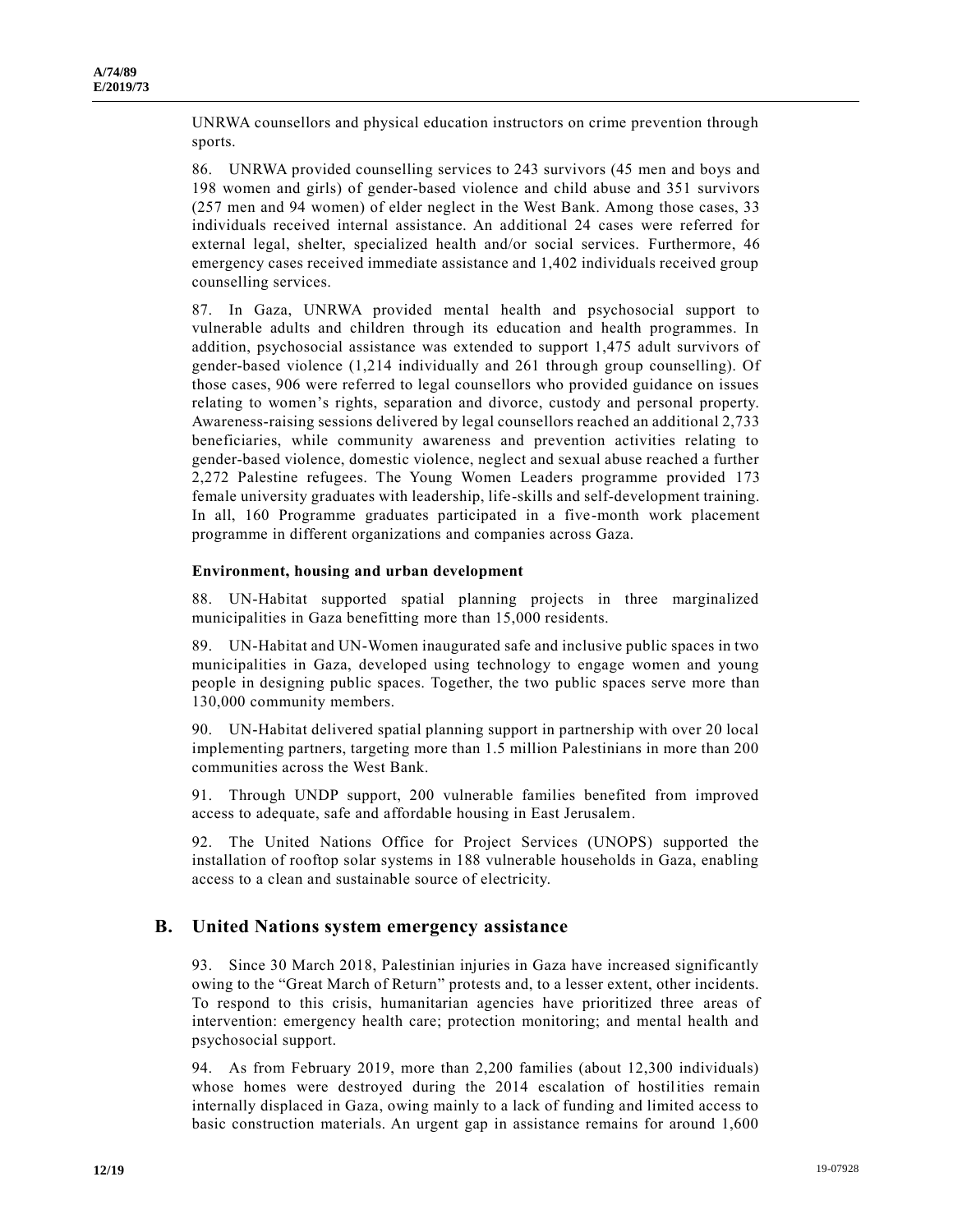UNRWA counsellors and physical education instructors on crime prevention through sports.

86. UNRWA provided counselling services to 243 survivors (45 men and boys and 198 women and girls) of gender-based violence and child abuse and 351 survivors (257 men and 94 women) of elder neglect in the West Bank. Among those cases, 33 individuals received internal assistance. An additional 24 cases were referred for external legal, shelter, specialized health and/or social services. Furthermore, 46 emergency cases received immediate assistance and 1,402 individuals received group counselling services.

87. In Gaza, UNRWA provided mental health and psychosocial support to vulnerable adults and children through its education and health programmes. In addition, psychosocial assistance was extended to support 1,475 adult survivors of gender-based violence (1,214 individually and 261 through group counselling). Of those cases, 906 were referred to legal counsellors who provided guidance on issues relating to women's rights, separation and divorce, custody and personal property. Awareness-raising sessions delivered by legal counsellors reached an additional 2,733 beneficiaries, while community awareness and prevention activities relating to gender-based violence, domestic violence, neglect and sexual abuse reached a further 2,272 Palestine refugees. The Young Women Leaders programme provided 173 female university graduates with leadership, life-skills and self-development training. In all, 160 Programme graduates participated in a five-month work placement programme in different organizations and companies across Gaza.

#### **Environment, housing and urban development**

88. UN-Habitat supported spatial planning projects in three marginalized municipalities in Gaza benefitting more than 15,000 residents.

89. UN-Habitat and UN-Women inaugurated safe and inclusive public spaces in two municipalities in Gaza, developed using technology to engage women and young people in designing public spaces. Together, the two public spaces serve more than 130,000 community members.

90. UN-Habitat delivered spatial planning support in partnership with over 20 local implementing partners, targeting more than 1.5 million Palestinians in more than 200 communities across the West Bank.

91. Through UNDP support, 200 vulnerable families benefited from improved access to adequate, safe and affordable housing in East Jerusalem.

92. The United Nations Office for Project Services (UNOPS) supported the installation of rooftop solar systems in 188 vulnerable households in Gaza, enabling access to a clean and sustainable source of electricity.

## **B. United Nations system emergency assistance**

93. Since 30 March 2018, Palestinian injuries in Gaza have increased significantly owing to the "Great March of Return" protests and, to a lesser extent, other incidents. To respond to this crisis, humanitarian agencies have prioritized three areas of intervention: emergency health care; protection monitoring; and mental health and psychosocial support.

94. As from February 2019, more than 2,200 families (about 12,300 individuals) whose homes were destroyed during the 2014 escalation of hostilities remain internally displaced in Gaza, owing mainly to a lack of funding and limited access to basic construction materials. An urgent gap in assistance remains for around 1,600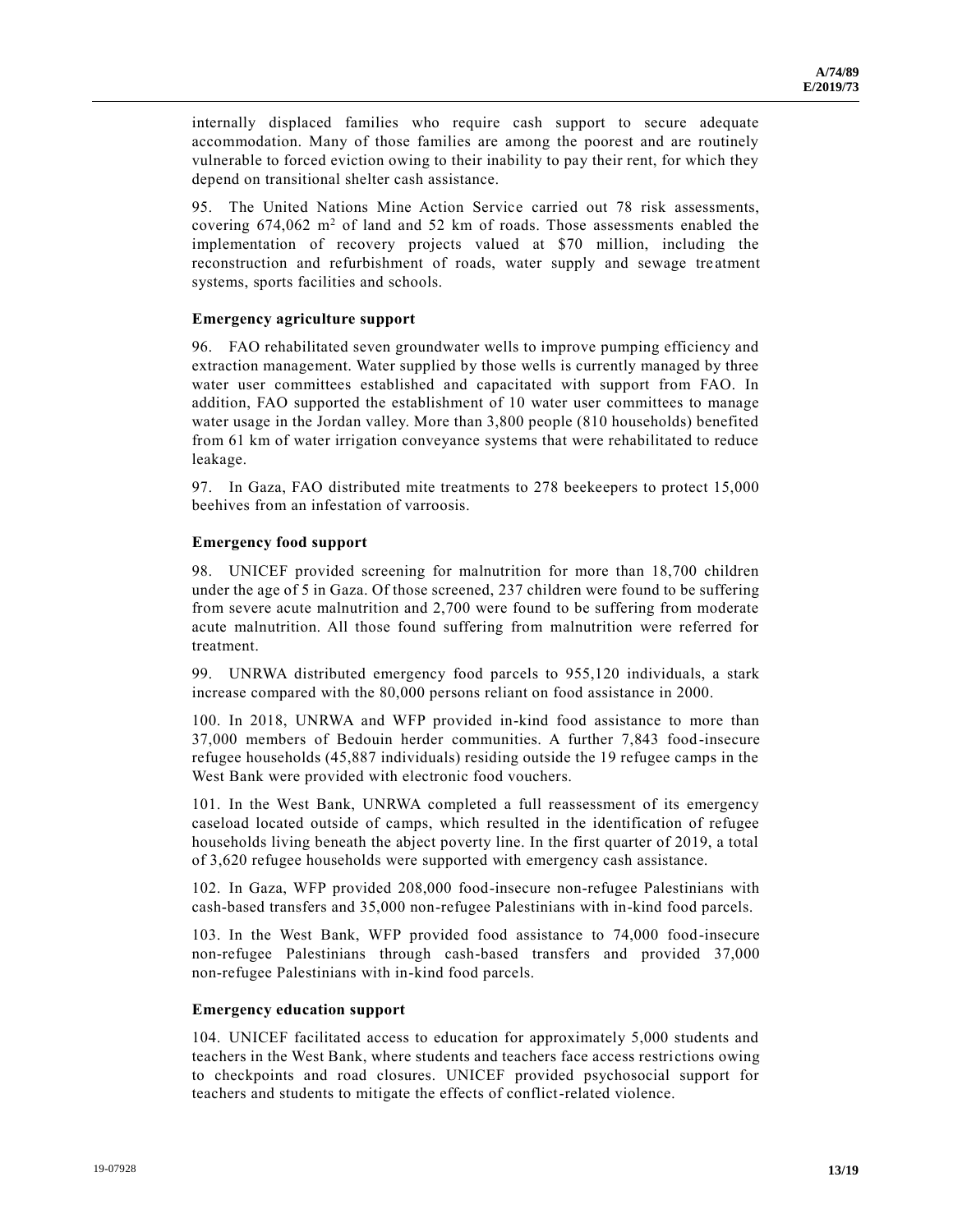internally displaced families who require cash support to secure adequate accommodation. Many of those families are among the poorest and are routinely vulnerable to forced eviction owing to their inability to pay their rent, for which they depend on transitional shelter cash assistance.

95. The United Nations Mine Action Service carried out 78 risk assessments, covering  $674.062$  m<sup>2</sup> of land and 52 km of roads. Those assessments enabled the implementation of recovery projects valued at \$70 million, including the reconstruction and refurbishment of roads, water supply and sewage tre atment systems, sports facilities and schools.

#### **Emergency agriculture support**

96. FAO rehabilitated seven groundwater wells to improve pumping efficiency and extraction management. Water supplied by those wells is currently managed by three water user committees established and capacitated with support from FAO. In addition, FAO supported the establishment of 10 water user committees to manage water usage in the Jordan valley. More than 3,800 people (810 households) benefited from 61 km of water irrigation conveyance systems that were rehabilitated to reduce leakage.

97. In Gaza, FAO distributed mite treatments to 278 beekeepers to protect 15,000 beehives from an infestation of varroosis.

#### **Emergency food support**

98. UNICEF provided screening for malnutrition for more than 18,700 children under the age of 5 in Gaza. Of those screened, 237 children were found to be suffering from severe acute malnutrition and 2,700 were found to be suffering from moderate acute malnutrition. All those found suffering from malnutrition were referred for treatment.

99. UNRWA distributed emergency food parcels to 955,120 individuals, a stark increase compared with the 80,000 persons reliant on food assistance in 2000.

100. In 2018, UNRWA and WFP provided in-kind food assistance to more than 37,000 members of Bedouin herder communities. A further 7,843 food-insecure refugee households (45,887 individuals) residing outside the 19 refugee camps in the West Bank were provided with electronic food vouchers.

101. In the West Bank, UNRWA completed a full reassessment of its emergency caseload located outside of camps, which resulted in the identification of refugee households living beneath the abject poverty line. In the first quarter of 2019, a total of 3,620 refugee households were supported with emergency cash assistance.

102. In Gaza, WFP provided 208,000 food-insecure non-refugee Palestinians with cash-based transfers and 35,000 non-refugee Palestinians with in-kind food parcels.

103. In the West Bank, WFP provided food assistance to 74,000 food-insecure non-refugee Palestinians through cash-based transfers and provided 37,000 non-refugee Palestinians with in-kind food parcels.

#### **Emergency education support**

104. UNICEF facilitated access to education for approximately 5,000 students and teachers in the West Bank, where students and teachers face access restrictions owing to checkpoints and road closures. UNICEF provided psychosocial support for teachers and students to mitigate the effects of conflict-related violence.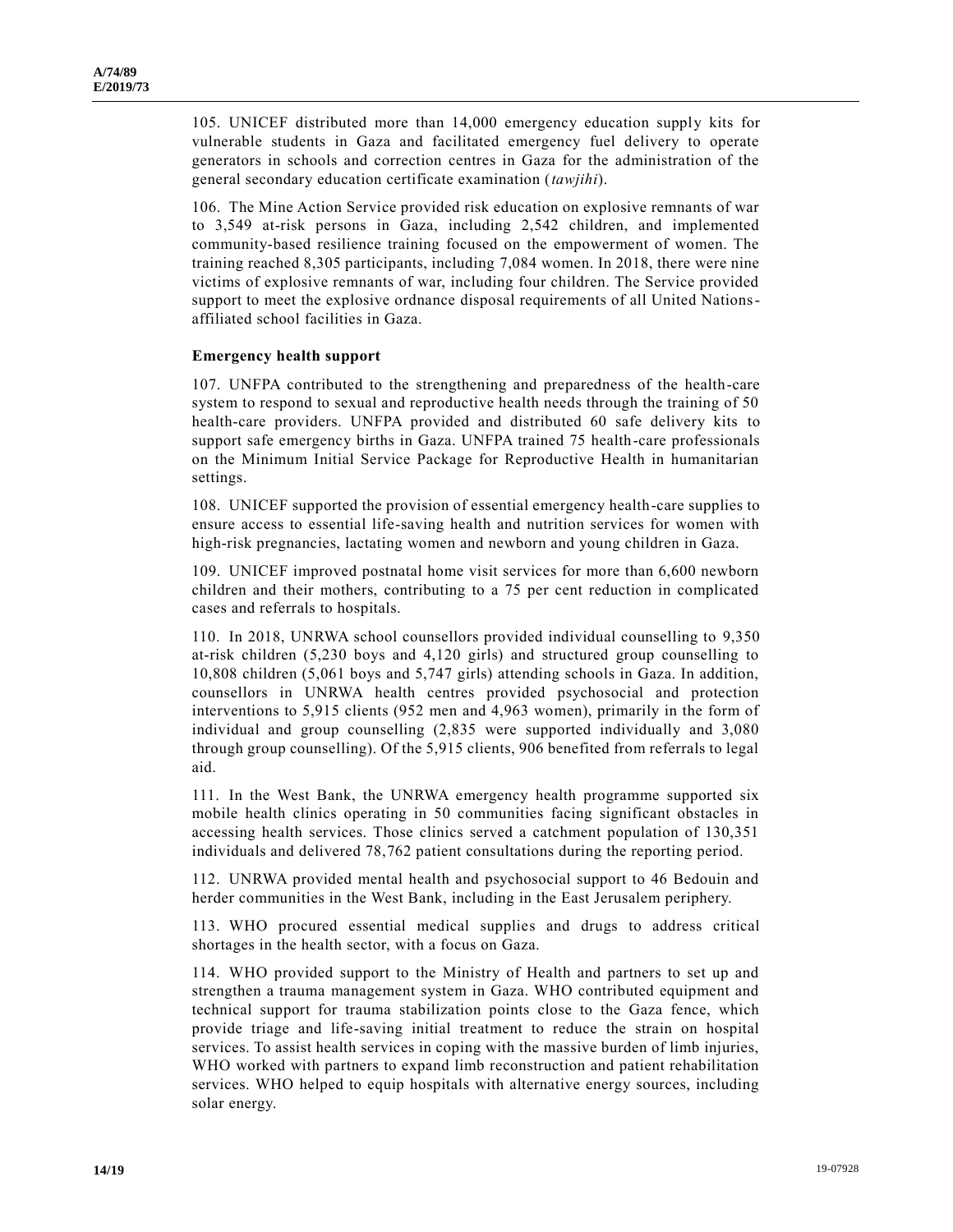105. UNICEF distributed more than 14,000 emergency education supply kits for vulnerable students in Gaza and facilitated emergency fuel delivery to operate generators in schools and correction centres in Gaza for the administration of the general secondary education certificate examination (*tawjihi*).

106. The Mine Action Service provided risk education on explosive remnants of war to 3,549 at-risk persons in Gaza, including 2,542 children, and implemented community-based resilience training focused on the empowerment of women. The training reached 8,305 participants, including 7,084 women. In 2018, there were nine victims of explosive remnants of war, including four children. The Service provided support to meet the explosive ordnance disposal requirements of all United Nationsaffiliated school facilities in Gaza.

#### **Emergency health support**

107. UNFPA contributed to the strengthening and preparedness of the health-care system to respond to sexual and reproductive health needs through the training of 50 health-care providers. UNFPA provided and distributed 60 safe delivery kits to support safe emergency births in Gaza. UNFPA trained 75 health-care professionals on the Minimum Initial Service Package for Reproductive Health in humanitarian settings.

108. UNICEF supported the provision of essential emergency health-care supplies to ensure access to essential life-saving health and nutrition services for women with high-risk pregnancies, lactating women and newborn and young children in Gaza.

109. UNICEF improved postnatal home visit services for more than 6,600 newborn children and their mothers, contributing to a 75 per cent reduction in complicated cases and referrals to hospitals.

110. In 2018, UNRWA school counsellors provided individual counselling to 9,350 at-risk children (5,230 boys and 4,120 girls) and structured group counselling to 10,808 children (5,061 boys and 5,747 girls) attending schools in Gaza. In addition, counsellors in UNRWA health centres provided psychosocial and protection interventions to 5,915 clients (952 men and 4,963 women), primarily in the form of individual and group counselling (2,835 were supported individually and 3,080 through group counselling). Of the 5,915 clients, 906 benefited from referrals to legal aid.

111. In the West Bank, the UNRWA emergency health programme supported six mobile health clinics operating in 50 communities facing significant obstacles in accessing health services. Those clinics served a catchment population of 130,351 individuals and delivered 78,762 patient consultations during the reporting period.

112. UNRWA provided mental health and psychosocial support to 46 Bedouin and herder communities in the West Bank, including in the East Jerusalem periphery.

113. WHO procured essential medical supplies and drugs to address critical shortages in the health sector, with a focus on Gaza.

114. WHO provided support to the Ministry of Health and partners to set up and strengthen a trauma management system in Gaza. WHO contributed equipment and technical support for trauma stabilization points close to the Gaza fence, which provide triage and life-saving initial treatment to reduce the strain on hospital services. To assist health services in coping with the massive burden of limb injuries, WHO worked with partners to expand limb reconstruction and patient rehabilitation services. WHO helped to equip hospitals with alternative energy sources, including solar energy.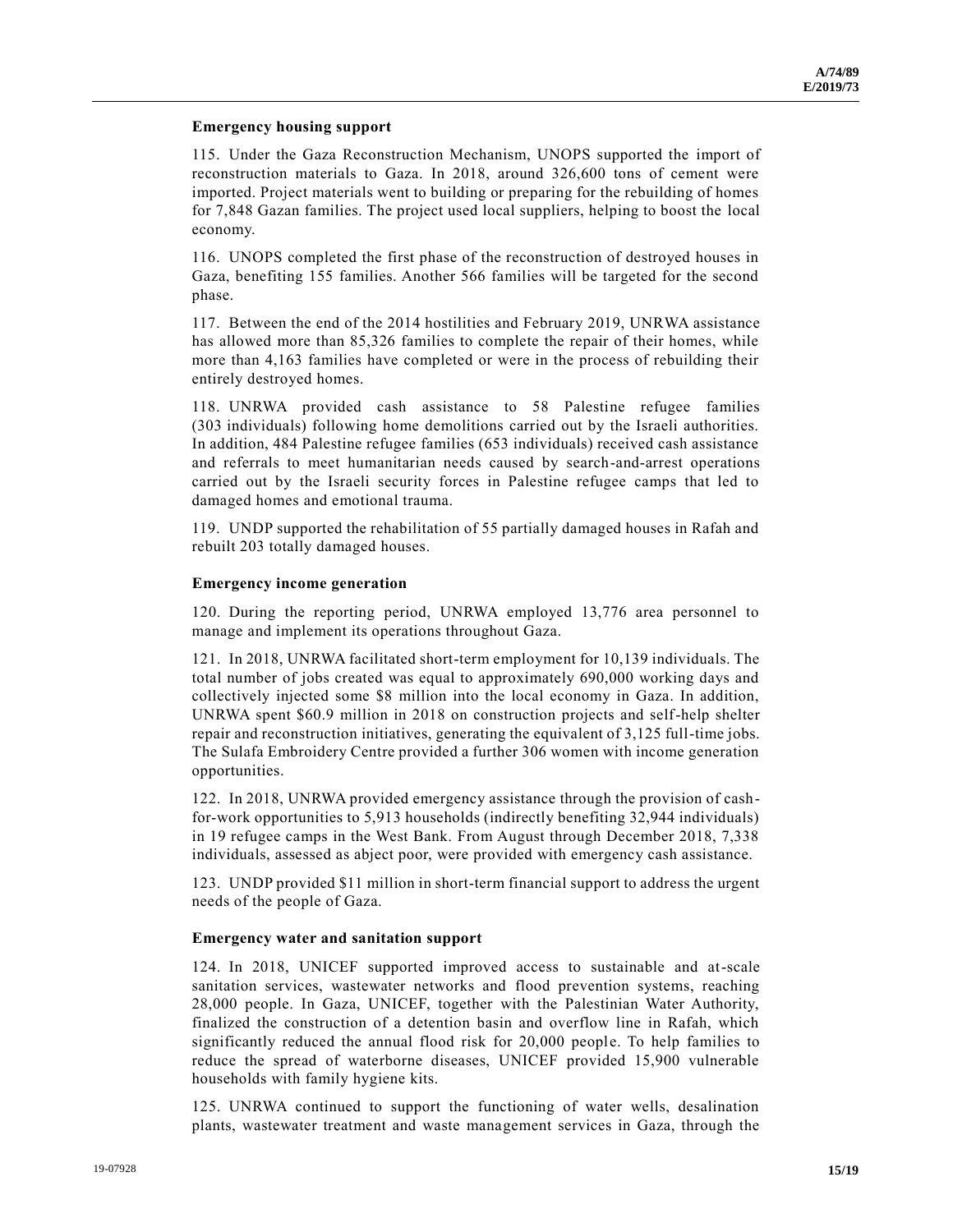#### **Emergency housing support**

115. Under the Gaza Reconstruction Mechanism, UNOPS supported the import of reconstruction materials to Gaza. In 2018, around 326,600 tons of cement were imported. Project materials went to building or preparing for the rebuilding of homes for 7,848 Gazan families. The project used local suppliers, helping to boost the local economy.

116. UNOPS completed the first phase of the reconstruction of destroyed houses in Gaza, benefiting 155 families. Another 566 families will be targeted for the second phase.

117. Between the end of the 2014 hostilities and February 2019, UNRWA assistance has allowed more than 85,326 families to complete the repair of their homes, while more than 4,163 families have completed or were in the process of rebuilding their entirely destroyed homes.

118. UNRWA provided cash assistance to 58 Palestine refugee families (303 individuals) following home demolitions carried out by the Israeli authorities. In addition, 484 Palestine refugee families (653 individuals) received cash assistance and referrals to meet humanitarian needs caused by search-and-arrest operations carried out by the Israeli security forces in Palestine refugee camps that led to damaged homes and emotional trauma.

119. UNDP supported the rehabilitation of 55 partially damaged houses in Rafah and rebuilt 203 totally damaged houses.

#### **Emergency income generation**

120. During the reporting period, UNRWA employed 13,776 area personnel to manage and implement its operations throughout Gaza.

121. In 2018, UNRWA facilitated short-term employment for 10,139 individuals. The total number of jobs created was equal to approximately 690,000 working days and collectively injected some \$8 million into the local economy in Gaza. In addition, UNRWA spent \$60.9 million in 2018 on construction projects and self-help shelter repair and reconstruction initiatives, generating the equivalent of 3,125 full-time jobs. The Sulafa Embroidery Centre provided a further 306 women with income generation opportunities.

122. In 2018, UNRWA provided emergency assistance through the provision of cashfor-work opportunities to 5,913 households (indirectly benefiting 32,944 individuals) in 19 refugee camps in the West Bank. From August through December 2018, 7,338 individuals, assessed as abject poor, were provided with emergency cash assistance.

123. UNDP provided \$11 million in short-term financial support to address the urgent needs of the people of Gaza.

#### **Emergency water and sanitation support**

124. In 2018, UNICEF supported improved access to sustainable and at-scale sanitation services, wastewater networks and flood prevention systems, reaching 28,000 people. In Gaza, UNICEF, together with the Palestinian Water Authority, finalized the construction of a detention basin and overflow line in Rafah, which significantly reduced the annual flood risk for 20,000 people. To help families to reduce the spread of waterborne diseases, UNICEF provided 15,900 vulnerable households with family hygiene kits.

125. UNRWA continued to support the functioning of water wells, desalination plants, wastewater treatment and waste management services in Gaza, through the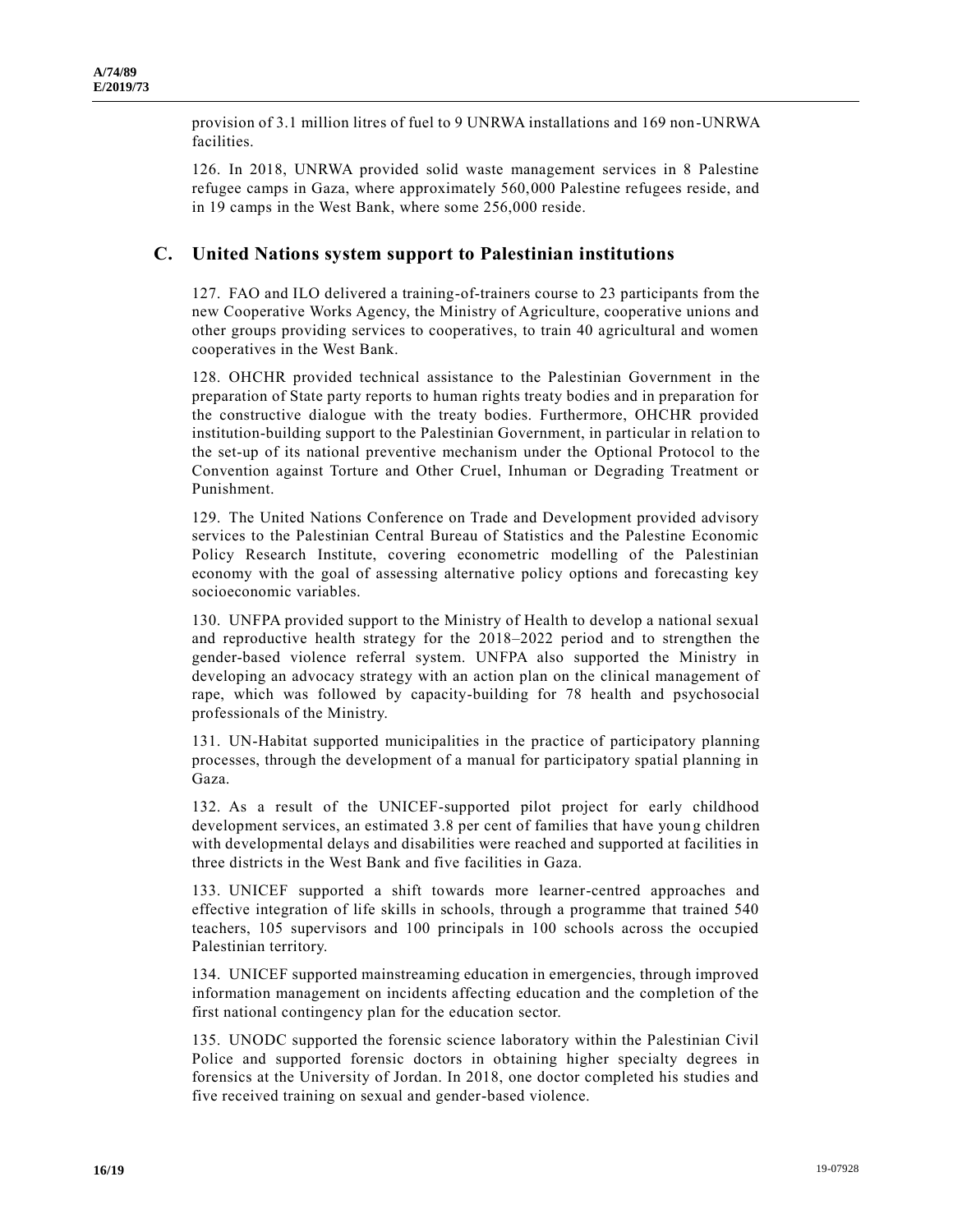provision of 3.1 million litres of fuel to 9 UNRWA installations and 169 non-UNRWA facilities.

126. In 2018, UNRWA provided solid waste management services in 8 Palestine refugee camps in Gaza, where approximately 560,000 Palestine refugees reside, and in 19 camps in the West Bank, where some 256,000 reside.

## **C. United Nations system support to Palestinian institutions**

127. FAO and ILO delivered a training-of-trainers course to 23 participants from the new Cooperative Works Agency, the Ministry of Agriculture, cooperative unions and other groups providing services to cooperatives, to train 40 agricultural and women cooperatives in the West Bank.

128. OHCHR provided technical assistance to the Palestinian Government in the preparation of State party reports to human rights treaty bodies and in preparation for the constructive dialogue with the treaty bodies. Furthermore, OHCHR provided institution-building support to the Palestinian Government, in particular in relation to the set-up of its national preventive mechanism under the Optional Protocol to the Convention against Torture and Other Cruel, Inhuman or Degrading Treatment or Punishment.

129. The United Nations Conference on Trade and Development provided advisory services to the Palestinian Central Bureau of Statistics and the Palestine Economic Policy Research Institute, covering econometric modelling of the Palestinian economy with the goal of assessing alternative policy options and forecasting key socioeconomic variables.

130. UNFPA provided support to the Ministry of Health to develop a national sexual and reproductive health strategy for the 2018–2022 period and to strengthen the gender-based violence referral system. UNFPA also supported the Ministry in developing an advocacy strategy with an action plan on the clinical management of rape, which was followed by capacity-building for 78 health and psychosocial professionals of the Ministry.

131. UN-Habitat supported municipalities in the practice of participatory planning processes, through the development of a manual for participatory spatial planning in Gaza.

132. As a result of the UNICEF-supported pilot project for early childhood development services, an estimated 3.8 per cent of families that have youn g children with developmental delays and disabilities were reached and supported at facilities in three districts in the West Bank and five facilities in Gaza.

133. UNICEF supported a shift towards more learner-centred approaches and effective integration of life skills in schools, through a programme that trained 540 teachers, 105 supervisors and 100 principals in 100 schools across the occupied Palestinian territory.

134. UNICEF supported mainstreaming education in emergencies, through improved information management on incidents affecting education and the completion of the first national contingency plan for the education sector.

135. UNODC supported the forensic science laboratory within the Palestinian Civil Police and supported forensic doctors in obtaining higher specialty degrees in forensics at the University of Jordan. In 2018, one doctor completed his studies and five received training on sexual and gender-based violence.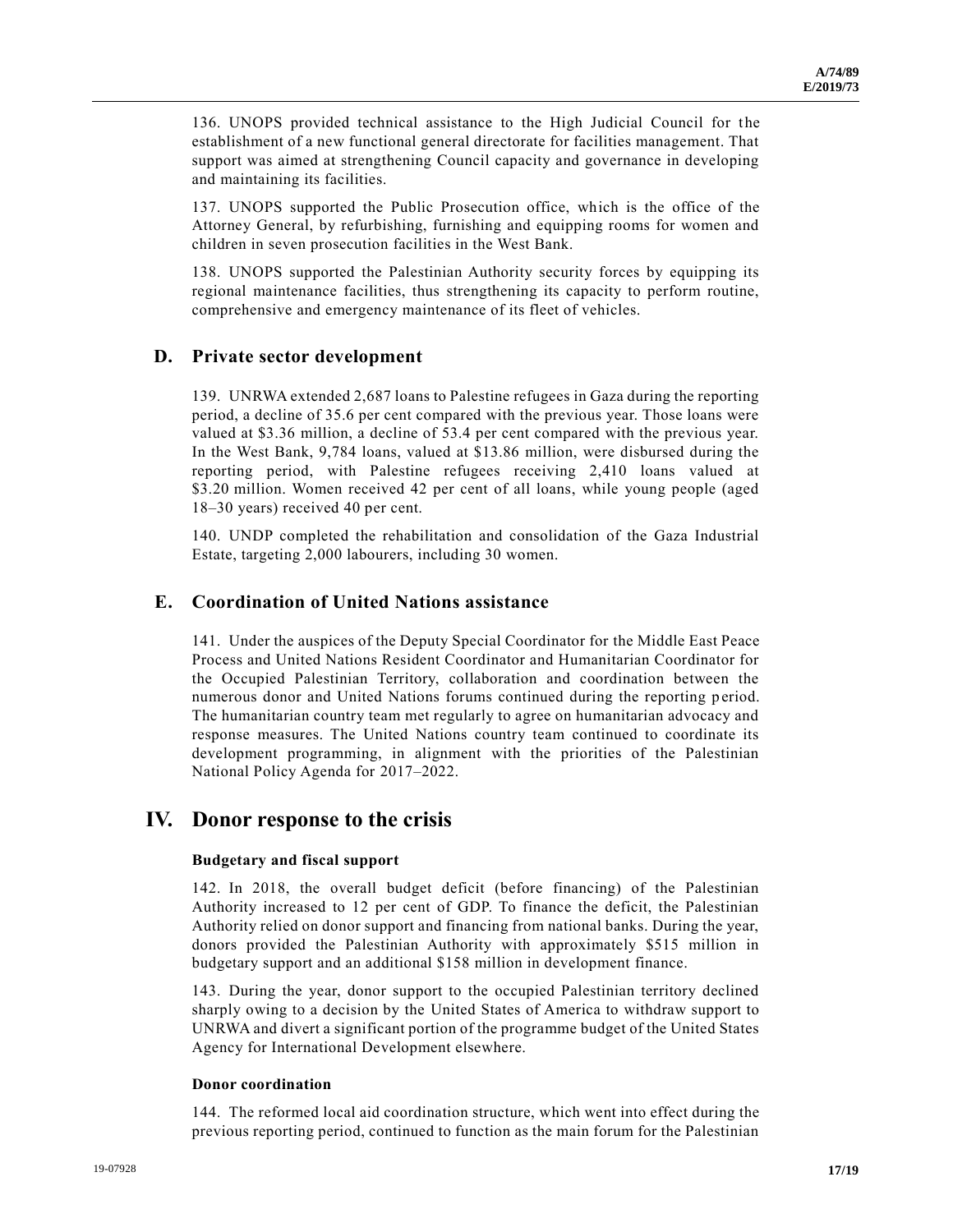136. UNOPS provided technical assistance to the High Judicial Council for the establishment of a new functional general directorate for facilities management. That support was aimed at strengthening Council capacity and governance in developing and maintaining its facilities.

137. UNOPS supported the Public Prosecution office, which is the office of the Attorney General, by refurbishing, furnishing and equipping rooms for women and children in seven prosecution facilities in the West Bank.

138. UNOPS supported the Palestinian Authority security forces by equipping its regional maintenance facilities, thus strengthening its capacity to perform routine, comprehensive and emergency maintenance of its fleet of vehicles.

## **D. Private sector development**

139. UNRWA extended 2,687 loans to Palestine refugees in Gaza during the reporting period, a decline of 35.6 per cent compared with the previous year. Those loans were valued at \$3.36 million, a decline of 53.4 per cent compared with the previous year. In the West Bank, 9,784 loans, valued at \$13.86 million, were disbursed during the reporting period, with Palestine refugees receiving 2,410 loans valued at \$3.20 million. Women received 42 per cent of all loans, while young people (aged 18–30 years) received 40 per cent.

140. UNDP completed the rehabilitation and consolidation of the Gaza Industrial Estate, targeting 2,000 labourers, including 30 women.

## **E. Coordination of United Nations assistance**

141. Under the auspices of the Deputy Special Coordinator for the Middle East Peace Process and United Nations Resident Coordinator and Humanitarian Coordinator for the Occupied Palestinian Territory, collaboration and coordination between the numerous donor and United Nations forums continued during the reporting p eriod. The humanitarian country team met regularly to agree on humanitarian advocacy and response measures. The United Nations country team continued to coordinate its development programming, in alignment with the priorities of the Palestinian National Policy Agenda for 2017–2022.

# **IV. Donor response to the crisis**

#### **Budgetary and fiscal support**

142. In 2018, the overall budget deficit (before financing) of the Palestinian Authority increased to 12 per cent of GDP. To finance the deficit, the Palestinian Authority relied on donor support and financing from national banks. During the year, donors provided the Palestinian Authority with approximately \$515 million in budgetary support and an additional \$158 million in development finance.

143. During the year, donor support to the occupied Palestinian territory declined sharply owing to a decision by the United States of America to withdraw support to UNRWA and divert a significant portion of the programme budget of the United States Agency for International Development elsewhere.

#### **Donor coordination**

144. The reformed local aid coordination structure, which went into effect during the previous reporting period, continued to function as the main forum for the Palestinian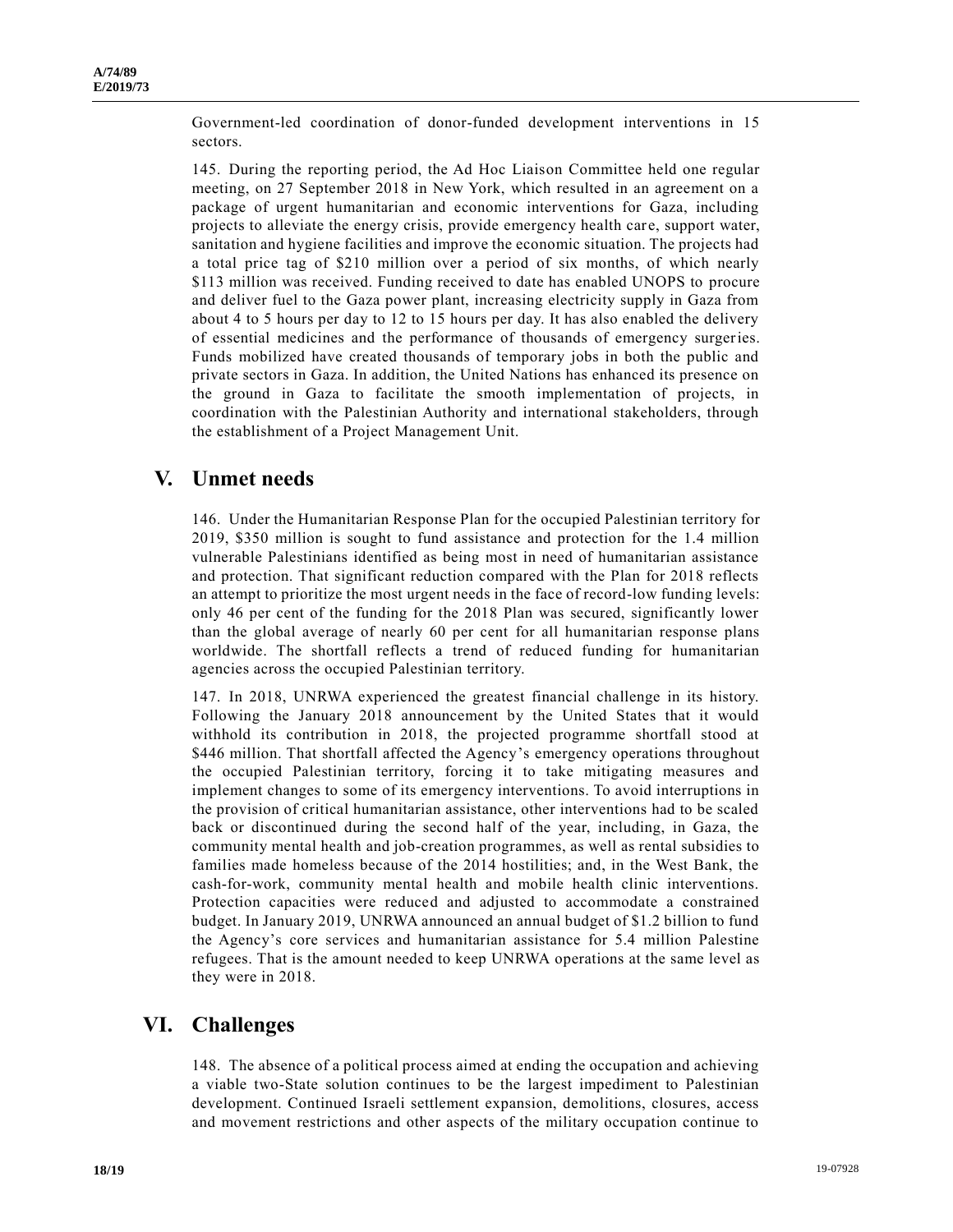Government-led coordination of donor-funded development interventions in 15 sectors.

145. During the reporting period, the Ad Hoc Liaison Committee held one regular meeting, on 27 September 2018 in New York, which resulted in an agreement on a package of urgent humanitarian and economic interventions for Gaza, including projects to alleviate the energy crisis, provide emergency health care, support water, sanitation and hygiene facilities and improve the economic situation. The projects had a total price tag of \$210 million over a period of six months, of which nearly \$113 million was received. Funding received to date has enabled UNOPS to procure and deliver fuel to the Gaza power plant, increasing electricity supply in Gaza from about 4 to 5 hours per day to 12 to 15 hours per day. It has also enabled the delivery of essential medicines and the performance of thousands of emergency surgeries. Funds mobilized have created thousands of temporary jobs in both the public and private sectors in Gaza. In addition, the United Nations has enhanced its presence on the ground in Gaza to facilitate the smooth implementation of projects, in coordination with the Palestinian Authority and international stakeholders, through the establishment of a Project Management Unit.

# **V. Unmet needs**

146. Under the Humanitarian Response Plan for the occupied Palestinian territory for 2019, \$350 million is sought to fund assistance and protection for the 1.4 million vulnerable Palestinians identified as being most in need of humanitarian assistance and protection. That significant reduction compared with the Plan for 2018 reflects an attempt to prioritize the most urgent needs in the face of record-low funding levels: only 46 per cent of the funding for the 2018 Plan was secured, significantly lower than the global average of nearly 60 per cent for all humanitarian response plans worldwide. The shortfall reflects a trend of reduced funding for humanitarian agencies across the occupied Palestinian territory.

147. In 2018, UNRWA experienced the greatest financial challenge in its history. Following the January 2018 announcement by the United States that it would withhold its contribution in 2018, the projected programme shortfall stood at \$446 million. That shortfall affected the Agency's emergency operations throughout the occupied Palestinian territory, forcing it to take mitigating measures and implement changes to some of its emergency interventions. To avoid interruptions in the provision of critical humanitarian assistance, other interventions had to be scaled back or discontinued during the second half of the year, including, in Gaza, the community mental health and job-creation programmes, as well as rental subsidies to families made homeless because of the 2014 hostilities; and, in the West Bank, the cash-for-work, community mental health and mobile health clinic interventions. Protection capacities were reduced and adjusted to accommodate a constrained budget. In January 2019, UNRWA announced an annual budget of \$1.2 billion to fund the Agency's core services and humanitarian assistance for 5.4 million Palestine refugees. That is the amount needed to keep UNRWA operations at the same level as they were in 2018.

# **VI. Challenges**

148. The absence of a political process aimed at ending the occupation and achieving a viable two-State solution continues to be the largest impediment to Palestinian development. Continued Israeli settlement expansion, demolitions, closures, access and movement restrictions and other aspects of the military occupation continue to